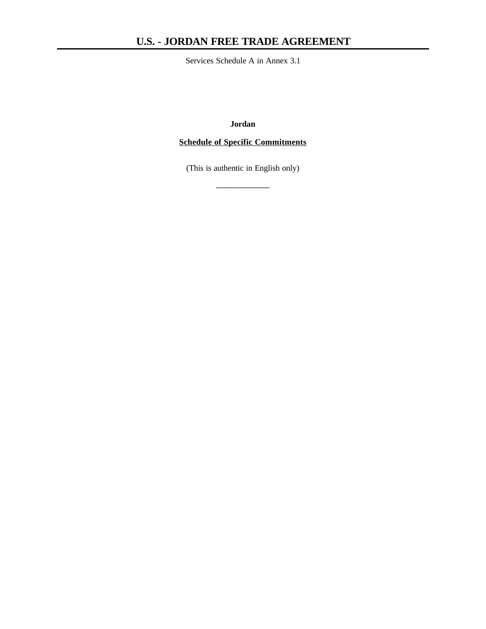# **U.S. - JORDAN FREE TRADE AGREEMENT**

Services Schedule A in Annex 3.1

**Jordan**

## **Schedule of Specific Commitments**

(This is authentic in English only)

**\_\_\_\_\_\_\_\_\_\_\_\_\_\_\_**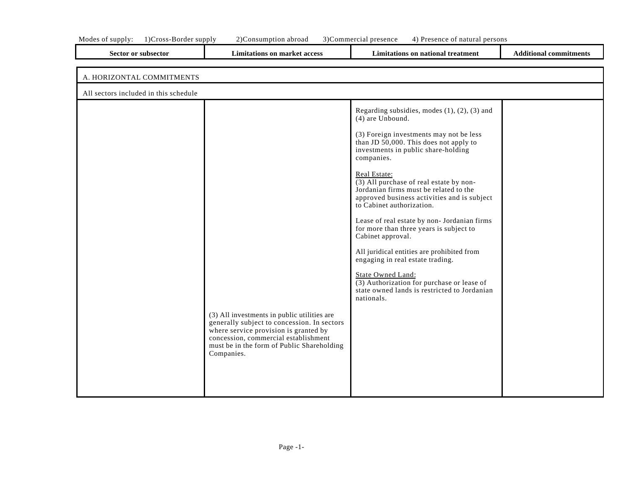| <b>Limitations on market access</b>                                                                                                                                                                                                     | Limitations on national treatment                                                                                                                                                                                                                                                                                                                                                                                                                                                                                                                                                                                                                                                                                                                          | <b>Additional commitments</b> |
|-----------------------------------------------------------------------------------------------------------------------------------------------------------------------------------------------------------------------------------------|------------------------------------------------------------------------------------------------------------------------------------------------------------------------------------------------------------------------------------------------------------------------------------------------------------------------------------------------------------------------------------------------------------------------------------------------------------------------------------------------------------------------------------------------------------------------------------------------------------------------------------------------------------------------------------------------------------------------------------------------------------|-------------------------------|
|                                                                                                                                                                                                                                         |                                                                                                                                                                                                                                                                                                                                                                                                                                                                                                                                                                                                                                                                                                                                                            |                               |
|                                                                                                                                                                                                                                         |                                                                                                                                                                                                                                                                                                                                                                                                                                                                                                                                                                                                                                                                                                                                                            |                               |
|                                                                                                                                                                                                                                         |                                                                                                                                                                                                                                                                                                                                                                                                                                                                                                                                                                                                                                                                                                                                                            |                               |
| (3) All investments in public utilities are<br>generally subject to concession. In sectors<br>where service provision is granted by<br>concession, commercial establishment<br>must be in the form of Public Shareholding<br>Companies. | Regarding subsidies, modes $(1)$ , $(2)$ , $(3)$ and<br>(4) are Unbound.<br>(3) Foreign investments may not be less<br>than JD 50,000. This does not apply to<br>investments in public share-holding<br>companies.<br>Real Estate:<br>(3) All purchase of real estate by non-<br>Jordanian firms must be related to the<br>approved business activities and is subject<br>to Cabinet authorization.<br>Lease of real estate by non- Jordanian firms<br>for more than three years is subject to<br>Cabinet approval.<br>All juridical entities are prohibited from<br>engaging in real estate trading.<br><b>State Owned Land:</b><br>$\overline{(3)}$ Authorization for purchase or lease of<br>state owned lands is restricted to Jordanian<br>nationals. |                               |
|                                                                                                                                                                                                                                         |                                                                                                                                                                                                                                                                                                                                                                                                                                                                                                                                                                                                                                                                                                                                                            |                               |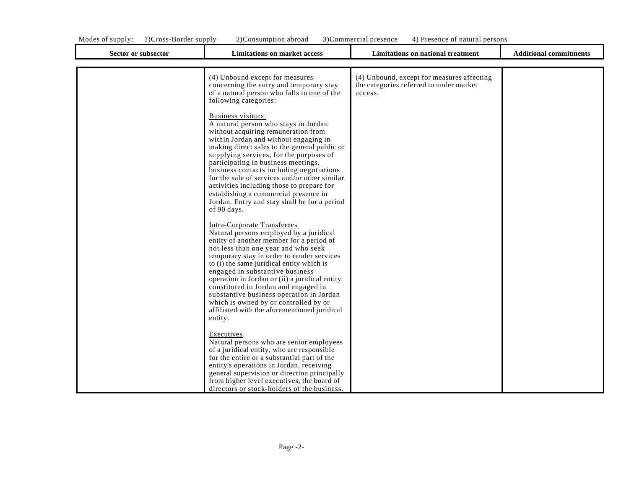| Modes<br>supply: | Border supply<br>ross-<br>` ) ( | $\lambda$ | 'onsumption abroad | i ) ( | Commercial presence | persons<br>of natural<br>esence<br>ົ້ |  |
|------------------|---------------------------------|-----------|--------------------|-------|---------------------|---------------------------------------|--|
|                  |                                 |           |                    |       |                     |                                       |  |

٦

| <b>Sector or subsector</b> | <b>Limitations on market access</b>                                                                                                                                                                                                                                                                                                                                                                                                                                                                                                                                                       | <b>Limitations on national treatment</b>                                                         | <b>Additional commitments</b> |
|----------------------------|-------------------------------------------------------------------------------------------------------------------------------------------------------------------------------------------------------------------------------------------------------------------------------------------------------------------------------------------------------------------------------------------------------------------------------------------------------------------------------------------------------------------------------------------------------------------------------------------|--------------------------------------------------------------------------------------------------|-------------------------------|
|                            | (4) Unbound except for measures<br>concerning the entry and temporary stay<br>of a natural person who falls in one of the<br>following categories:<br><b>Business visitors</b><br>A natural person who stays in Jordan<br>without acquiring remuneration from<br>within Jordan and without engaging in<br>making direct sales to the general public or<br>supplying services, for the purposes of<br>participating in business meetings,<br>business contacts including negotiations<br>for the sale of services and/or other similar                                                     | (4) Unbound, except for measures affecting<br>the categories referred to under market<br>access. |                               |
|                            | activities including those to prepare for<br>establishing a commercial presence in<br>Jordan. Entry and stay shall be for a period<br>of 90 days.<br><b>Intra-Corporate Transferees</b><br>Natural persons employed by a juridical<br>entity of another member for a period of<br>not less than one year and who seek<br>temporary stay in order to render services<br>to (i) the same juridical entity which is<br>engaged in substantive business<br>operation in Jordan or (ii) a juridical entity<br>constituted in Jordan and engaged in<br>substantive business operation in Jordan |                                                                                                  |                               |
|                            | which is owned by or controlled by or<br>affiliated with the aforementioned juridical<br>entity.<br>Executives<br>Natural persons who are senior employees<br>of a juridical entity, who are responsible<br>for the entire or a substantial part of the<br>entity's operations in Jordan, receiving<br>general supervision or direction principally<br>from higher level executives, the board of<br>directors or stock-holders of the business.                                                                                                                                          |                                                                                                  |                               |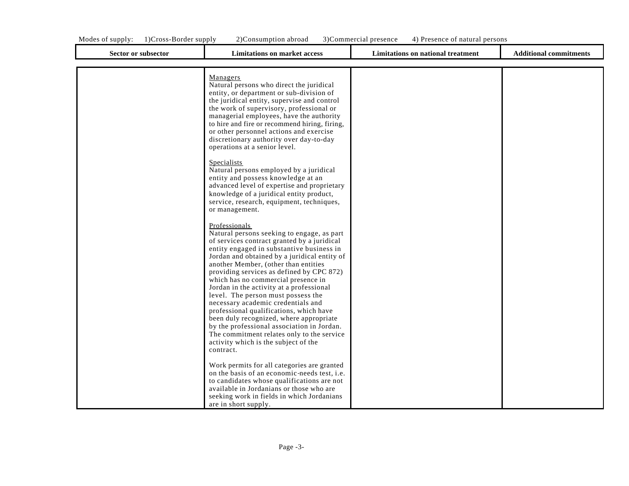| Sector or subsector | <b>Limitations on market access</b>                                                                                                                                                                                                                                                                                                                                                                                                                                                                                                                                                                               | <b>Limitations on national treatment</b> | <b>Additional commitments</b> |
|---------------------|-------------------------------------------------------------------------------------------------------------------------------------------------------------------------------------------------------------------------------------------------------------------------------------------------------------------------------------------------------------------------------------------------------------------------------------------------------------------------------------------------------------------------------------------------------------------------------------------------------------------|------------------------------------------|-------------------------------|
|                     | Managers<br>Natural persons who direct the juridical<br>entity, or department or sub-division of<br>the juridical entity, supervise and control<br>the work of supervisory, professional or<br>managerial employees, have the authority<br>to hire and fire or recommend hiring, firing,<br>or other personnel actions and exercise<br>discretionary authority over day-to-day<br>operations at a senior level.<br><b>Specialists</b><br>Natural persons employed by a juridical<br>entity and possess knowledge at an<br>advanced level of expertise and proprietary<br>knowledge of a juridical entity product, |                                          |                               |
|                     | service, research, equipment, techniques,<br>or management.<br>Professionals<br>Natural persons seeking to engage, as part<br>of services contract granted by a juridical<br>entity engaged in substantive business in<br>Jordan and obtained by a juridical entity of<br>another Member, (other than entities<br>providing services as defined by CPC 872)<br>which has no commercial presence in<br>Jordan in the activity at a professional                                                                                                                                                                    |                                          |                               |
|                     | level. The person must possess the<br>necessary academic credentials and<br>professional qualifications, which have<br>been duly recognized, where appropriate<br>by the professional association in Jordan.<br>The commitment relates only to the service<br>activity which is the subject of the<br>contract.<br>Work permits for all categories are granted<br>on the basis of an economic needs test, <i>i.e.</i><br>to candidates whose qualifications are not<br>available in Jordanians or those who are                                                                                                   |                                          |                               |

are in short supply.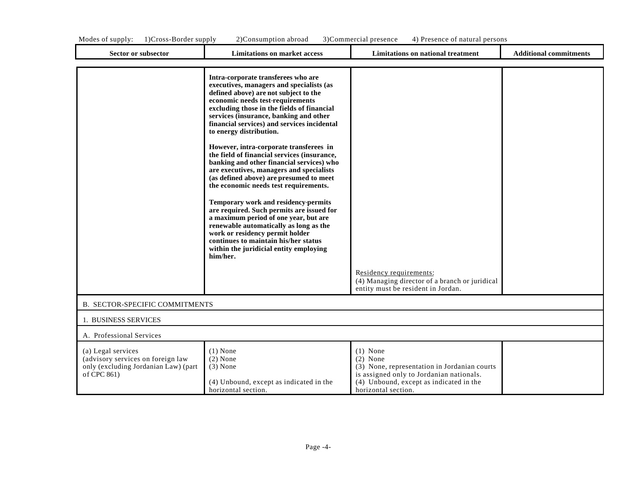| 1) Cross-Border supply<br>Modes of supply:                                                                     | 2) Consumption abroad                                                                                                                                                                                                                                                                                                                                                                                                                                                                                                                                                                                                                                                                                                                                                                                                                                                                                          | 3) Commercial presence<br>4) Presence of natural persons                                                                                                                               |                               |
|----------------------------------------------------------------------------------------------------------------|----------------------------------------------------------------------------------------------------------------------------------------------------------------------------------------------------------------------------------------------------------------------------------------------------------------------------------------------------------------------------------------------------------------------------------------------------------------------------------------------------------------------------------------------------------------------------------------------------------------------------------------------------------------------------------------------------------------------------------------------------------------------------------------------------------------------------------------------------------------------------------------------------------------|----------------------------------------------------------------------------------------------------------------------------------------------------------------------------------------|-------------------------------|
| Sector or subsector                                                                                            | <b>Limitations on market access</b>                                                                                                                                                                                                                                                                                                                                                                                                                                                                                                                                                                                                                                                                                                                                                                                                                                                                            | Limitations on national treatment                                                                                                                                                      | <b>Additional commitments</b> |
|                                                                                                                | Intra-corporate transferees who are<br>executives, managers and specialists (as<br>defined above) are not subject to the<br>economic needs test-requirements<br>excluding those in the fields of financial<br>services (insurance, banking and other<br>financial services) and services incidental<br>to energy distribution.<br>However, intra-corporate transferees in<br>the field of financial services (insurance,<br>banking and other financial services) who<br>are executives, managers and specialists<br>(as defined above) are presumed to meet<br>the economic needs test requirements.<br>Temporary work and residency permits<br>are required. Such permits are issued for<br>a maximum period of one year, but are<br>renewable automatically as long as the<br>work or residency permit holder<br>continues to maintain his/her status<br>within the juridicial entity employing<br>him/her. |                                                                                                                                                                                        |                               |
|                                                                                                                |                                                                                                                                                                                                                                                                                                                                                                                                                                                                                                                                                                                                                                                                                                                                                                                                                                                                                                                | Residency requirements:<br>(4) Managing director of a branch or juridical<br>entity must be resident in Jordan.                                                                        |                               |
| B. SECTOR-SPECIFIC COMMITMENTS                                                                                 |                                                                                                                                                                                                                                                                                                                                                                                                                                                                                                                                                                                                                                                                                                                                                                                                                                                                                                                |                                                                                                                                                                                        |                               |
| 1. BUSINESS SERVICES                                                                                           |                                                                                                                                                                                                                                                                                                                                                                                                                                                                                                                                                                                                                                                                                                                                                                                                                                                                                                                |                                                                                                                                                                                        |                               |
| A. Professional Services                                                                                       |                                                                                                                                                                                                                                                                                                                                                                                                                                                                                                                                                                                                                                                                                                                                                                                                                                                                                                                |                                                                                                                                                                                        |                               |
| (a) Legal services<br>(advisory services on foreign law<br>only (excluding Jordanian Law) (part<br>of CPC 861) | $(1)$ None<br>$(2)$ None<br>$(3)$ None<br>(4) Unbound, except as indicated in the<br>horizontal section.                                                                                                                                                                                                                                                                                                                                                                                                                                                                                                                                                                                                                                                                                                                                                                                                       | $(1)$ None<br>$(2)$ None<br>(3) None, representation in Jordanian courts<br>is assigned only to Jordanian nationals.<br>(4) Unbound, except as indicated in the<br>horizontal section. |                               |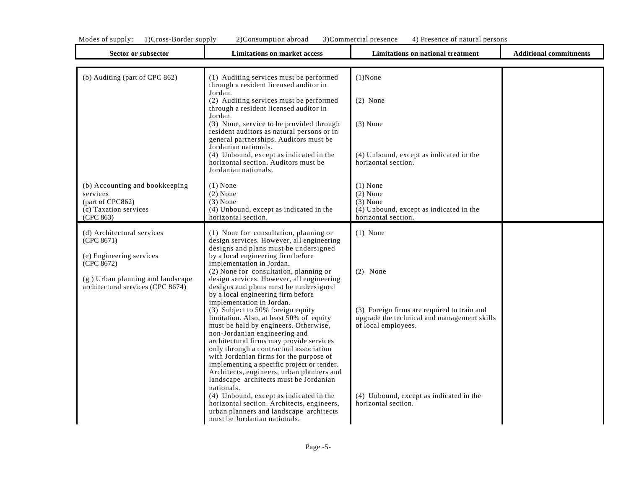|  | Modes of supply: 1)Cross-Border supply | 2)Consumption abroad |  | 3) Commercial presence 4) Presence of natural persons |
|--|----------------------------------------|----------------------|--|-------------------------------------------------------|
|--|----------------------------------------|----------------------|--|-------------------------------------------------------|

| <b>Sector or subsector</b>                                                                                                                                  | <b>Limitations on market access</b>                                                                                                                                                                                                                                                                                                                                                                                                                                                                                                                                                                                                                                                                                                                                                                                                                                                                                                                                                                                   | Limitations on national treatment                                                                                                                                                                               | <b>Additional commitments</b> |
|-------------------------------------------------------------------------------------------------------------------------------------------------------------|-----------------------------------------------------------------------------------------------------------------------------------------------------------------------------------------------------------------------------------------------------------------------------------------------------------------------------------------------------------------------------------------------------------------------------------------------------------------------------------------------------------------------------------------------------------------------------------------------------------------------------------------------------------------------------------------------------------------------------------------------------------------------------------------------------------------------------------------------------------------------------------------------------------------------------------------------------------------------------------------------------------------------|-----------------------------------------------------------------------------------------------------------------------------------------------------------------------------------------------------------------|-------------------------------|
| (b) Auditing (part of CPC 862)                                                                                                                              | (1) Auditing services must be performed<br>through a resident licensed auditor in<br>Jordan.<br>(2) Auditing services must be performed<br>through a resident licensed auditor in<br>Jordan.<br>(3) None, service to be provided through<br>resident auditors as natural persons or in<br>general partnerships. Auditors must be<br>Jordanian nationals.<br>(4) Unbound, except as indicated in the<br>horizontal section. Auditors must be<br>Jordanian nationals.                                                                                                                                                                                                                                                                                                                                                                                                                                                                                                                                                   | $(1)$ None<br>$(2)$ None<br>$(3)$ None<br>(4) Unbound, except as indicated in the<br>horizontal section.                                                                                                        |                               |
| (b) Accounting and bookkeeping<br>services<br>(part of CPC862)<br>(c) Taxation services<br>(CPC 863)                                                        | $(1)$ None<br>$(2)$ None<br>$(3)$ None<br>(4) Unbound, except as indicated in the<br>horizontal section.                                                                                                                                                                                                                                                                                                                                                                                                                                                                                                                                                                                                                                                                                                                                                                                                                                                                                                              | $(1)$ None<br>$(2)$ None<br>$(3)$ None<br>(4) Unbound, except as indicated in the<br>horizontal section.                                                                                                        |                               |
| (d) Architectural services<br>(CPC 8671)<br>(e) Engineering services<br>(CPC 8672)<br>(g) Urban planning and landscape<br>architectural services (CPC 8674) | (1) None for consultation, planning or<br>design services. However, all engineering<br>designs and plans must be undersigned<br>by a local engineering firm before<br>implementation in Jordan.<br>(2) None for consultation, planning or<br>design services. However, all engineering<br>designs and plans must be undersigned<br>by a local engineering firm before<br>implementation in Jordan.<br>(3) Subject to 50% foreign equity<br>limitation. Also, at least 50% of equity<br>must be held by engineers. Otherwise,<br>non-Jordanian engineering and<br>architectural firms may provide services<br>only through a contractual association<br>with Jordanian firms for the purpose of<br>implementing a specific project or tender.<br>Architects, engineers, urban planners and<br>landscape architects must be Jordanian<br>nationals.<br>(4) Unbound, except as indicated in the<br>horizontal section. Architects, engineers,<br>urban planners and landscape architects<br>must be Jordanian nationals. | $(1)$ None<br>$(2)$ None<br>(3) Foreign firms are required to train and<br>upgrade the technical and management skills<br>of local employees.<br>(4) Unbound, except as indicated in the<br>horizontal section. |                               |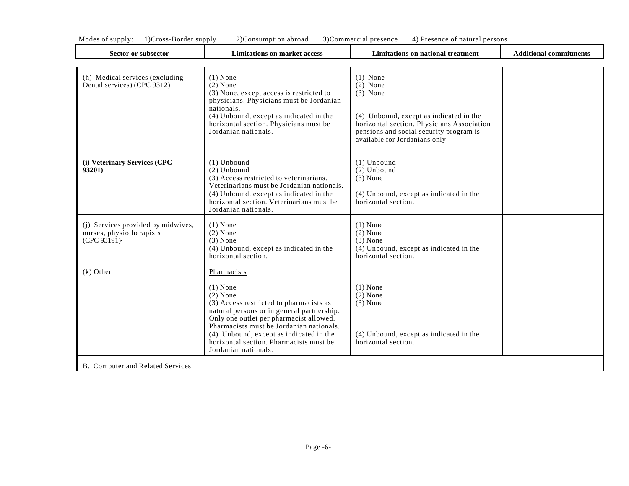| Sector or subsector                                                           | <b>Limitations on market access</b>                                                                                                                                                                                                                                                                                                   | Limitations on national treatment                                                                                                                                                                           | <b>Additional commitments</b> |
|-------------------------------------------------------------------------------|---------------------------------------------------------------------------------------------------------------------------------------------------------------------------------------------------------------------------------------------------------------------------------------------------------------------------------------|-------------------------------------------------------------------------------------------------------------------------------------------------------------------------------------------------------------|-------------------------------|
| (h) Medical services (excluding<br>Dental services) (CPC 9312)                | $(1)$ None<br>$(2)$ None<br>(3) None, except access is restricted to<br>physicians. Physicians must be Jordanian<br>nationals.<br>(4) Unbound, except as indicated in the<br>horizontal section. Physicians must be<br>Jordanian nationals.                                                                                           | $(1)$ None<br>$(2)$ None<br>$(3)$ None<br>(4) Unbound, except as indicated in the<br>horizontal section. Physicians Association<br>pensions and social security program is<br>available for Jordanians only |                               |
| (i) Veterinary Services (CPC<br>93201)                                        | $(1)$ Unbound<br>$(2)$ Unbound<br>(3) Access restricted to veterinarians.<br>Veterinarians must be Jordanian nationals.<br>(4) Unbound, except as indicated in the<br>horizontal section. Veterinarians must be<br>Jordanian nationals.                                                                                               | $(1)$ Unbound<br>$(2)$ Unbound<br>$(3)$ None<br>(4) Unbound, except as indicated in the<br>horizontal section.                                                                                              |                               |
| (i) Services provided by midwives,<br>nurses, physiotherapists<br>(CPC 93191) | $(1)$ None<br>$(2)$ None<br>$(3)$ None<br>(4) Unbound, except as indicated in the<br>horizontal section.                                                                                                                                                                                                                              | $(1)$ None<br>$(2)$ None<br>$(3)$ None<br>(4) Unbound, except as indicated in the<br>horizontal section.                                                                                                    |                               |
| $(k)$ Other                                                                   | Pharmacists<br>$(1)$ None<br>$(2)$ None<br>(3) Access restricted to pharmacists as<br>natural persons or in general partnership.<br>Only one outlet per pharmacist allowed.<br>Pharmacists must be Jordanian nationals.<br>(4) Unbound, except as indicated in the<br>horizontal section. Pharmacists must be<br>Jordanian nationals. | $(1)$ None<br>$(2)$ None<br>$(3)$ None<br>(4) Unbound, except as indicated in the<br>horizontal section.                                                                                                    |                               |

B. Computer and Related Services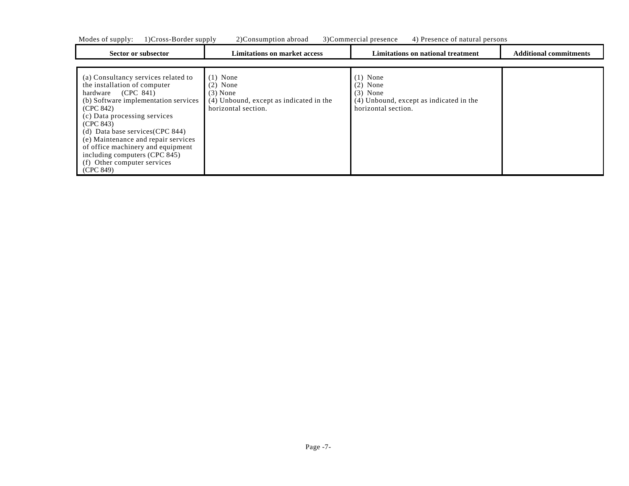|  | Modes of supply: 1)Cross-Border supply |  |  | 2)Consumption abroad 3)Commercial presence 4) Presence of natural persons |  |
|--|----------------------------------------|--|--|---------------------------------------------------------------------------|--|
|--|----------------------------------------|--|--|---------------------------------------------------------------------------|--|

| Sector or subsector                                                                                                                                                                                                                  | <b>Limitations on market access</b>                                                                      | Limitations on national treatment                                                                        | <b>Additional commitments</b> |
|--------------------------------------------------------------------------------------------------------------------------------------------------------------------------------------------------------------------------------------|----------------------------------------------------------------------------------------------------------|----------------------------------------------------------------------------------------------------------|-------------------------------|
| (a) Consultancy services related to<br>the installation of computer<br>(CPC 841)<br>hardware<br>(b) Software implementation services<br>(CPC 842)<br>(c) Data processing services<br>(CPC 843)<br>(d) Data base services $(CPC 844)$ | $(1)$ None<br>$(2)$ None<br>$(3)$ None<br>(4) Unbound, except as indicated in the<br>horizontal section. | $(1)$ None<br>$(2)$ None<br>$(3)$ None<br>(4) Unbound, except as indicated in the<br>horizontal section. |                               |
| (e) Maintenance and repair services<br>of office machinery and equipment<br>including computers (CPC 845)<br>(f) Other computer services<br>(CPC 849)                                                                                |                                                                                                          |                                                                                                          |                               |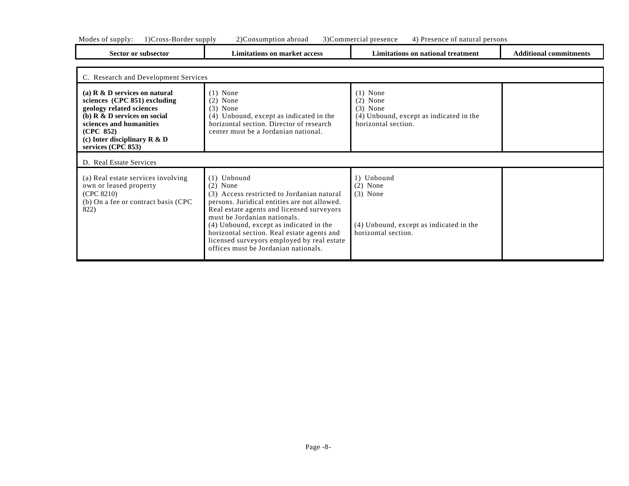| Sector or subsector                                                                                                                                                                                                                                   | <b>Limitations on market access</b>                                                                                                                                                                                                                                                             | Limitations on national treatment                                                                        | <b>Additional commitments</b> |
|-------------------------------------------------------------------------------------------------------------------------------------------------------------------------------------------------------------------------------------------------------|-------------------------------------------------------------------------------------------------------------------------------------------------------------------------------------------------------------------------------------------------------------------------------------------------|----------------------------------------------------------------------------------------------------------|-------------------------------|
| C. Research and Development Services                                                                                                                                                                                                                  |                                                                                                                                                                                                                                                                                                 |                                                                                                          |                               |
| (a) $R \& D$ services on natural<br>sciences $(CPC 851)$ excluding<br>geology related sciences<br>(b) $\mathbb{R}$ & $\mathbb{D}$ services on social<br>sciences and humanities<br>(CPC 852)<br>(c) Inter disciplinary $R \& D$<br>services (CPC 853) | $(1)$ None<br>$(2)$ None<br>$(3)$ None<br>(4) Unbound, except as indicated in the<br>horizontal section. Director of research<br>center must be a Jordanian national.                                                                                                                           | $(1)$ None<br>$(2)$ None<br>$(3)$ None<br>(4) Unbound, except as indicated in the<br>horizontal section. |                               |
| D. Real Estate Services                                                                                                                                                                                                                               |                                                                                                                                                                                                                                                                                                 |                                                                                                          |                               |
| (a) Real estate services involving<br>own or leased property<br>(CPC 8210)<br>(b) On a fee or contract basis (CPC<br>822)                                                                                                                             | $(1)$ Unbound<br>$(2)$ None<br>(3) Access restricted to Jordanian natural<br>persons. Juridical entities are not allowed.<br>Real estate agents and licensed surveyors<br>must be Jordanian nationals.<br>(4) Unbound, except as indicated in the<br>horizontal section. Real estate agents and | 1) Unbound<br>$(2)$ None<br>$(3)$ None<br>(4) Unbound, except as indicated in the<br>horizontal section. |                               |

licensed surveyors employed by real estate offices must be Jordanian nationals.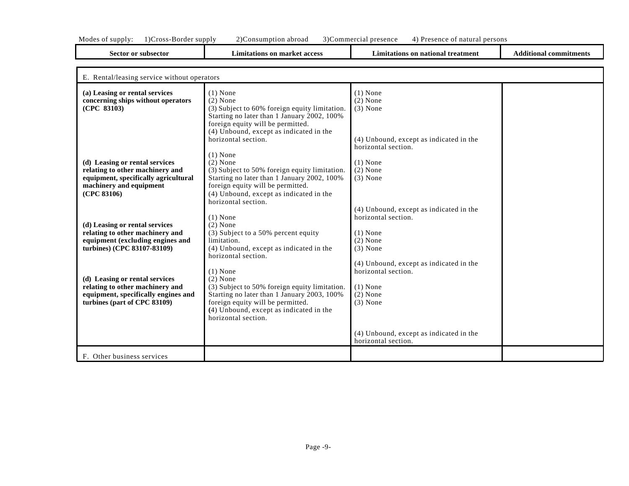| Sector or subsector                         | <b>Limitations on market access</b>           | Limitations on national treatment       | <b>Additional commitments</b> |
|---------------------------------------------|-----------------------------------------------|-----------------------------------------|-------------------------------|
| E. Rental/leasing service without operators |                                               |                                         |                               |
| (a) Leasing or rental services              | $(1)$ None                                    | $(1)$ None                              |                               |
| concerning ships without operators          | $(2)$ None                                    | $(2)$ None                              |                               |
| (CPC 83103)                                 | (3) Subject to 60% foreign equity limitation. | $(3)$ None                              |                               |
|                                             | Starting no later than 1 January 2002, 100%   |                                         |                               |
|                                             | foreign equity will be permitted.             |                                         |                               |
|                                             | (4) Unbound, except as indicated in the       |                                         |                               |
|                                             | horizontal section.                           | (4) Unbound, except as indicated in the |                               |
|                                             |                                               | horizontal section.                     |                               |
|                                             | $(1)$ None                                    |                                         |                               |
| (d) Leasing or rental services              | $(2)$ None                                    | $(1)$ None                              |                               |
| relating to other machinery and             | (3) Subject to 50% foreign equity limitation. | $(2)$ None                              |                               |
| equipment, specifically agricultural        | Starting no later than 1 January 2002, 100%   | $(3)$ None                              |                               |
| machinery and equipment                     | foreign equity will be permitted.             |                                         |                               |
| (CPC 83106)                                 | (4) Unbound, except as indicated in the       |                                         |                               |
|                                             | horizontal section.                           |                                         |                               |
|                                             |                                               | (4) Unbound, except as indicated in the |                               |

horizontal section.

horizontal section.

horizontal section.

(4) Unbound, except as indicated in the

(4) Unbound, except as indicated in the

(1) None (2) None (3) None

(1) None  $(2)$  None (3) None

**(d) Leasing or rental services relating to other machinery and equipment (excluding engines and turbines) (CPC 83107-83109)**

(1) None  $(2)$  None

limitation.

(1) None (2) None

horizontal section.

horizontal section.

(3) Subject to a 50% percent equity

foreign equity will be permitted. **(**4) Unbound, except as indicated in the

(4) Unbound, except as indicated in the

(3) Subject to 50% foreign equity limitation. Starting no later than 1 January 2003, 100%

**(d) Leasing or rental services relating to other machinery and equipment, specifically engines and turbines (part of CPC 83109)**

F. Other business services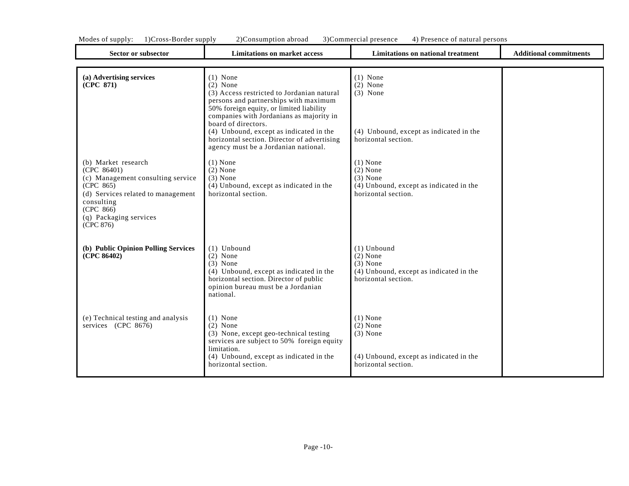| <b>Sector or subsector</b>                                                                                                                                                                   | <b>Limitations on market access</b>                                                                                                                                                                                                                                                                                                                              | <b>Limitations on national treatment</b>                                                                    | <b>Additional commitments</b> |
|----------------------------------------------------------------------------------------------------------------------------------------------------------------------------------------------|------------------------------------------------------------------------------------------------------------------------------------------------------------------------------------------------------------------------------------------------------------------------------------------------------------------------------------------------------------------|-------------------------------------------------------------------------------------------------------------|-------------------------------|
| (a) Advertising services<br>(CPC 871)                                                                                                                                                        | $(1)$ None<br>$(2)$ None<br>(3) Access restricted to Jordanian natural<br>persons and partnerships with maximum<br>50% foreign equity, or limited liability<br>companies with Jordanians as majority in<br>board of directors.<br>(4) Unbound, except as indicated in the<br>horizontal section. Director of advertising<br>agency must be a Jordanian national. | $(1)$ None<br>$(2)$ None<br>$(3)$ None<br>(4) Unbound, except as indicated in the<br>horizontal section.    |                               |
| (b) Market research<br>(CPC 86401)<br>(c) Management consulting service<br>(CPC 865)<br>(d) Services related to management<br>consulting<br>(CPC 866)<br>(q) Packaging services<br>(CPC 876) | $(1)$ None<br>$(2)$ None<br>$(3)$ None<br>(4) Unbound, except as indicated in the<br>horizontal section.                                                                                                                                                                                                                                                         | $(1)$ None<br>$(2)$ None<br>$(3)$ None<br>(4) Unbound, except as indicated in the<br>horizontal section.    |                               |
| (b) Public Opinion Polling Services<br>(CPC 86402)                                                                                                                                           | $(1)$ Unbound<br>$(2)$ None<br>$(3)$ None<br>(4) Unbound, except as indicated in the<br>horizontal section. Director of public<br>opinion bureau must be a Jordanian<br>national.                                                                                                                                                                                | $(1)$ Unbound<br>$(2)$ None<br>$(3)$ None<br>(4) Unbound, except as indicated in the<br>horizontal section. |                               |
| (e) Technical testing and analysis<br>services (CPC 8676)                                                                                                                                    | $(1)$ None<br>$(2)$ None<br>(3) None, except geo-technical testing<br>services are subject to 50% foreign equity<br>limitation.<br>(4) Unbound, except as indicated in the<br>horizontal section.                                                                                                                                                                | $(1)$ None<br>$(2)$ None<br>$(3)$ None<br>(4) Unbound, except as indicated in the<br>horizontal section.    |                               |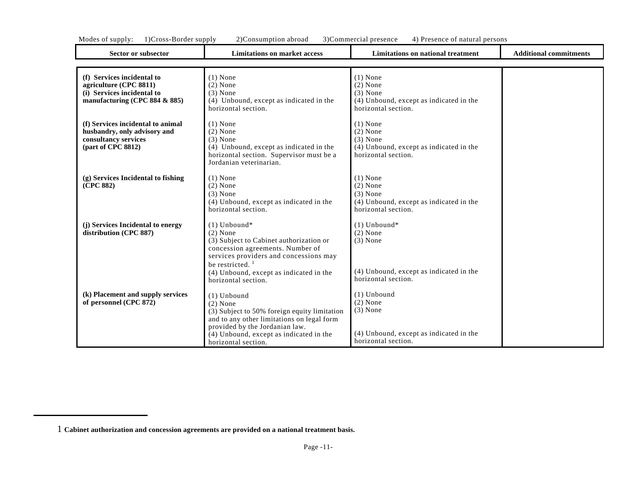| Sector or subsector                                                                                                   | <b>Limitations on market access</b>                                                                                                                                                                                                                     | <b>Limitations on national treatment</b>                                                                     | <b>Additional commitments</b> |
|-----------------------------------------------------------------------------------------------------------------------|---------------------------------------------------------------------------------------------------------------------------------------------------------------------------------------------------------------------------------------------------------|--------------------------------------------------------------------------------------------------------------|-------------------------------|
|                                                                                                                       |                                                                                                                                                                                                                                                         |                                                                                                              |                               |
| (f) Services incidental to<br>agriculture (CPC 8811)<br>(i) Services incidental to<br>manufacturing (CPC 884 $&$ 885) | $(1)$ None<br>$(2)$ None<br>$(3)$ None<br>(4) Unbound, except as indicated in the<br>horizontal section.                                                                                                                                                | $(1)$ None<br>$(2)$ None<br>$(3)$ None<br>(4) Unbound, except as indicated in the<br>horizontal section.     |                               |
| (f) Services incidental to animal<br>husbandry, only advisory and<br>consultancy services<br>(part of CPC 8812)       | $(1)$ None<br>$(2)$ None<br>$(3)$ None<br>(4) Unbound, except as indicated in the<br>horizontal section. Supervisor must be a<br>Jordanian veterinarian.                                                                                                | $(1)$ None<br>$(2)$ None<br>$(3)$ None<br>(4) Unbound, except as indicated in the<br>horizontal section.     |                               |
| (g) Services Incidental to fishing<br>(CPC 882)                                                                       | $(1)$ None<br>$(2)$ None<br>$(3)$ None<br>(4) Unbound, except as indicated in the<br>horizontal section.                                                                                                                                                | $(1)$ None<br>$(2)$ None<br>$(3)$ None<br>(4) Unbound, except as indicated in the<br>horizontal section.     |                               |
| (j) Services Incidental to energy<br>distribution (CPC 887)                                                           | $(1)$ Unbound*<br>$(2)$ None<br>(3) Subject to Cabinet authorization or<br>concession agreements. Number of<br>services providers and concessions may<br>be restricted. $\frac{1}{2}$<br>(4) Unbound, except as indicated in the<br>horizontal section. | $(1)$ Unbound*<br>$(2)$ None<br>$(3)$ None<br>(4) Unbound, except as indicated in the<br>horizontal section. |                               |
| (k) Placement and supply services<br>of personnel (CPC 872)                                                           | $(1)$ Unbound<br>$(2)$ None<br>(3) Subject to 50% foreign equity limitation<br>and to any other limitations on legal form<br>provided by the Jordanian law.<br>(4) Unbound, except as indicated in the<br>horizontal section.                           | $(1)$ Unbound<br>$(2)$ None<br>$(3)$ None<br>(4) Unbound, except as indicated in the<br>horizontal section.  |                               |

<sup>1</sup> **Cabinet authorization and concession agreements are provided on a national treatment basis.**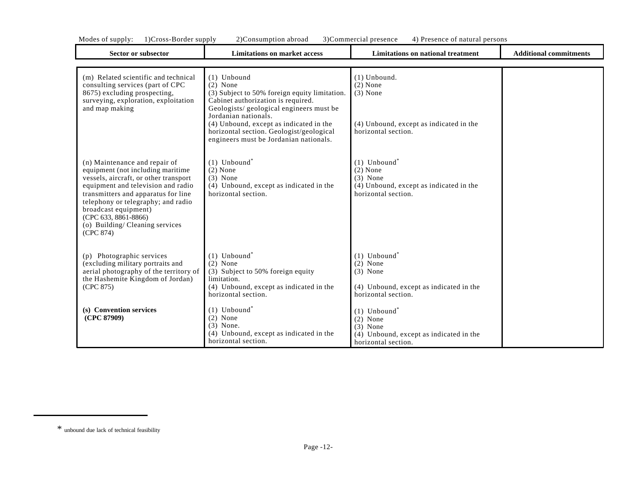| Modes of supply.<br>T/Cross-Doruer supply                                                                                                                                                                                                                                                                                     | 2 JCONSUMPHON aDIOAU<br>3 JUOHIMEIDIAI PIESENCE<br>4) FIESENCE OI HAUTAI PEISONS                                                                                                      |                                                                                                                          |                               |  |  |
|-------------------------------------------------------------------------------------------------------------------------------------------------------------------------------------------------------------------------------------------------------------------------------------------------------------------------------|---------------------------------------------------------------------------------------------------------------------------------------------------------------------------------------|--------------------------------------------------------------------------------------------------------------------------|-------------------------------|--|--|
| Sector or subsector                                                                                                                                                                                                                                                                                                           | <b>Limitations on market access</b>                                                                                                                                                   | <b>Limitations on national treatment</b>                                                                                 | <b>Additional commitments</b> |  |  |
|                                                                                                                                                                                                                                                                                                                               |                                                                                                                                                                                       |                                                                                                                          |                               |  |  |
| (m) Related scientific and technical<br>consulting services (part of CPC<br>8675) excluding prospecting,<br>surveying, exploration, exploitation<br>and map making                                                                                                                                                            | $(1)$ Unbound<br>$(2)$ None<br>(3) Subject to 50% foreign equity limitation.<br>Cabinet authorization is required.<br>Geologists/geological engineers must be<br>Jordanian nationals. | $(1)$ Unbound.<br>$(2)$ None<br>$(3)$ None                                                                               |                               |  |  |
|                                                                                                                                                                                                                                                                                                                               | (4) Unbound, except as indicated in the<br>horizontal section. Geologist/geological<br>engineers must be Jordanian nationals.                                                         | (4) Unbound, except as indicated in the<br>horizontal section.                                                           |                               |  |  |
| (n) Maintenance and repair of<br>equipment (not including maritime<br>vessels, aircraft, or other transport<br>equipment and television and radio<br>transmitters and apparatus for line<br>telephony or telegraphy; and radio<br>broadcast equipment)<br>(CPC 633, 8861-8866)<br>(o) Building/Cleaning services<br>(CPC 874) | $(1)$ Unbound <sup>*</sup><br>$(2)$ None<br>$(3)$ None<br>(4) Unbound, except as indicated in the<br>horizontal section.                                                              | $(1)$ Unbound <sup>*</sup><br>$(2)$ None<br>$(3)$ None<br>(4) Unbound, except as indicated in the<br>horizontal section. |                               |  |  |
| (p) Photographic services<br>(excluding military portraits and<br>aerial photography of the territory of<br>the Hashemite Kingdom of Jordan)<br>(CPC 875)                                                                                                                                                                     | $(1)$ Unbound <sup>*</sup><br>$(2)$ None<br>(3) Subject to 50% foreign equity<br>limitation.<br>(4) Unbound, except as indicated in the<br>horizontal section.                        | $(1)$ Unbound <sup>*</sup><br>$(2)$ None<br>$(3)$ None<br>(4) Unbound, except as indicated in the<br>horizontal section. |                               |  |  |
| (s) Convention services<br>(CPC 87909)                                                                                                                                                                                                                                                                                        | $(1)$ Unbound <sup>*</sup><br>$(2)$ None<br>$(3)$ None.<br>(4) Unbound, except as indicated in the<br>horizontal section.                                                             | $(1)$ Unbound <sup>*</sup><br>$(2)$ None<br>$(3)$ None<br>(4) Unbound, except as indicated in the<br>horizontal section. |                               |  |  |

<sup>\*</sup> unbound due lack of technical feasibility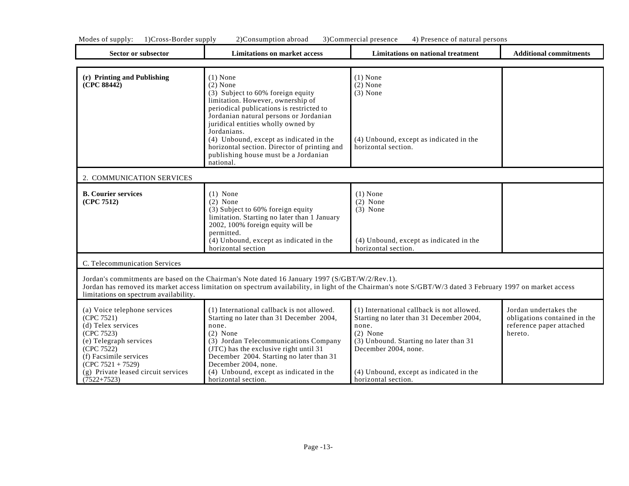| Modes<br>supply:<br>. OT | supply<br>$\cdot$ ) ( $\cdot$<br>-Border<br>$ross-$ | 20C<br>consumption abroad | 3)Commercia<br>' presence<br>rciai | persons<br>Presence of natural.<br>$\cdots$ |
|--------------------------|-----------------------------------------------------|---------------------------|------------------------------------|---------------------------------------------|
|                          |                                                     |                           |                                    |                                             |
|                          |                                                     |                           |                                    |                                             |

| Sector or subsector                                                                                                                                                                                                             | <b>Limitations on market access</b>                                                                                                                                                                                                                                                                                                                                                           | Limitations on national treatment                                                                                                                                                                                                                 | <b>Additional commitments</b>                                                                |
|---------------------------------------------------------------------------------------------------------------------------------------------------------------------------------------------------------------------------------|-----------------------------------------------------------------------------------------------------------------------------------------------------------------------------------------------------------------------------------------------------------------------------------------------------------------------------------------------------------------------------------------------|---------------------------------------------------------------------------------------------------------------------------------------------------------------------------------------------------------------------------------------------------|----------------------------------------------------------------------------------------------|
| (r) Printing and Publishing<br>(CPC 88442)                                                                                                                                                                                      | $(1)$ None<br>$(2)$ None<br>(3) Subject to 60% foreign equity<br>limitation. However, ownership of<br>periodical publications is restricted to<br>Jordanian natural persons or Jordanian<br>juridical entities wholly owned by<br>Jordanians.<br>(4) Unbound, except as indicated in the<br>horizontal section. Director of printing and<br>publishing house must be a Jordanian<br>national. | $(1)$ None<br>$(2)$ None<br>$(3)$ None<br>(4) Unbound, except as indicated in the<br>horizontal section.                                                                                                                                          |                                                                                              |
| 2. COMMUNICATION SERVICES                                                                                                                                                                                                       |                                                                                                                                                                                                                                                                                                                                                                                               |                                                                                                                                                                                                                                                   |                                                                                              |
| <b>B.</b> Courier services<br>(CPC 7512)                                                                                                                                                                                        | $(1)$ None<br>$(2)$ None<br>(3) Subject to 60% foreign equity<br>limitation. Starting no later than 1 January<br>2002, 100% foreign equity will be<br>permitted.<br>$(4)$ Unbound, except as indicated in the<br>horizontal section                                                                                                                                                           | $(1)$ None<br>$(2)$ None<br>$(3)$ None<br>(4) Unbound, except as indicated in the<br>horizontal section.                                                                                                                                          |                                                                                              |
| C. Telecommunication Services                                                                                                                                                                                                   |                                                                                                                                                                                                                                                                                                                                                                                               |                                                                                                                                                                                                                                                   |                                                                                              |
| limitations on spectrum availability.                                                                                                                                                                                           | Jordan's commitments are based on the Chairman's Note dated 16 January 1997 (S/GBT/W/2/Rev.1).                                                                                                                                                                                                                                                                                                | Jordan has removed its market access limitation on spectrum availability, in light of the Chairman's note S/GBT/W/3 dated 3 February 1997 on market access                                                                                        |                                                                                              |
| (a) Voice telephone services<br>(CPC 7521)<br>(d) Telex services<br>(CPC 7523)<br>(e) Telegraph services<br>(CPC 7522)<br>(f) Facsimile services<br>$(CPC 7521 + 7529)$<br>(g) Private leased circuit services<br>$(7522+7523)$ | (1) International callback is not allowed.<br>Starting no later than 31 December 2004,<br>none.<br>$(2)$ None<br>(3) Jordan Telecommunications Company<br>(JTC) has the exclusive right until 31<br>December 2004. Starting no later than 31<br>December 2004, none.<br>(4) Unbound, except as indicated in the<br>horizontal section.                                                        | (1) International callback is not allowed.<br>Starting no later than 31 December 2004,<br>none.<br>$(2)$ None<br>(3) Unbound. Starting no later than 31<br>December 2004, none.<br>(4) Unbound, except as indicated in the<br>horizontal section. | Jordan undertakes the<br>obligations contained in the<br>reference paper attached<br>hereto. |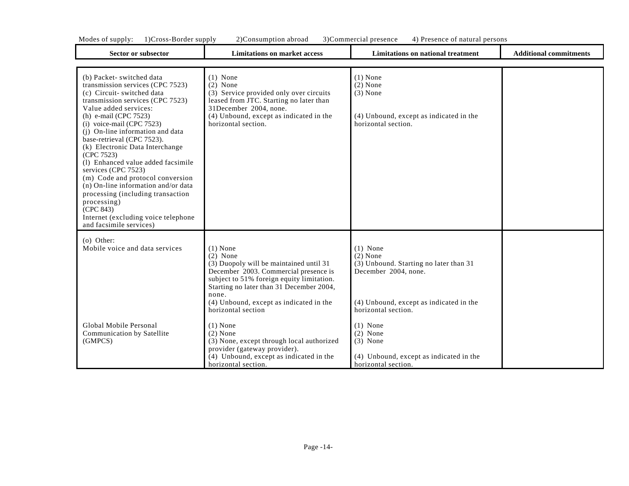| <b>Sector or subsector</b><br><b>Limitations on market access</b>                                                                                                                                                                                                                                                                                                                                                                                                                                                                                                                                                |                                                                                                                                                                                                                                                                                                             | Limitations on national treatment                                                                                                                                                        | <b>Additional commitments</b> |
|------------------------------------------------------------------------------------------------------------------------------------------------------------------------------------------------------------------------------------------------------------------------------------------------------------------------------------------------------------------------------------------------------------------------------------------------------------------------------------------------------------------------------------------------------------------------------------------------------------------|-------------------------------------------------------------------------------------------------------------------------------------------------------------------------------------------------------------------------------------------------------------------------------------------------------------|------------------------------------------------------------------------------------------------------------------------------------------------------------------------------------------|-------------------------------|
|                                                                                                                                                                                                                                                                                                                                                                                                                                                                                                                                                                                                                  |                                                                                                                                                                                                                                                                                                             |                                                                                                                                                                                          |                               |
| (b) Packet-switched data<br>transmission services (CPC 7523)<br>(c) Circuit- switched data<br>transmission services (CPC 7523)<br>Value added services:<br>(h) e-mail (CPC $7523$ )<br>$(i)$ voice-mail (CPC 7523)<br>(j) On-line information and data<br>base-retrieval (CPC 7523).<br>(k) Electronic Data Interchange<br>(CPC 7523)<br>(1) Enhanced value added facsimile<br>services (CPC 7523)<br>(m) Code and protocol conversion<br>(n) On-line information and/or data<br>processing (including transaction<br>processing)<br>(CPC 843)<br>Internet (excluding voice telephone<br>and facsimile services) | $(1)$ None<br>$(2)$ None<br>(3) Service provided only over circuits<br>leased from JTC. Starting no later than<br>31December 2004, none.<br>(4) Unbound, except as indicated in the<br>horizontal section.                                                                                                  | $(1)$ None<br>$(2)$ None<br>$(3)$ None<br>(4) Unbound, except as indicated in the<br>horizontal section.                                                                                 |                               |
| $(o)$ Other:<br>Mobile voice and data services<br>Global Mobile Personal<br>Communication by Satellite                                                                                                                                                                                                                                                                                                                                                                                                                                                                                                           | $(1)$ None<br>$(2)$ None<br>(3) Duopoly will be maintained until 31<br>December 2003. Commercial presence is<br>subject to 51% foreign equity limitation.<br>Starting no later than 31 December 2004,<br>none.<br>(4) Unbound, except as indicated in the<br>horizontal section<br>$(1)$ None<br>$(2)$ None | $(1)$ None<br>$(2)$ None<br>(3) Unbound. Starting no later than 31<br>December 2004, none.<br>(4) Unbound, except as indicated in the<br>horizontal section.<br>$(1)$ None<br>$(2)$ None |                               |
| (GMPCS)                                                                                                                                                                                                                                                                                                                                                                                                                                                                                                                                                                                                          | (3) None, except through local authorized<br>provider (gateway provider).<br>(4) Unbound, except as indicated in the<br>horizontal section.                                                                                                                                                                 | $(3)$ None<br>(4) Unbound, except as indicated in the<br>horizontal section.                                                                                                             |                               |

Ŧ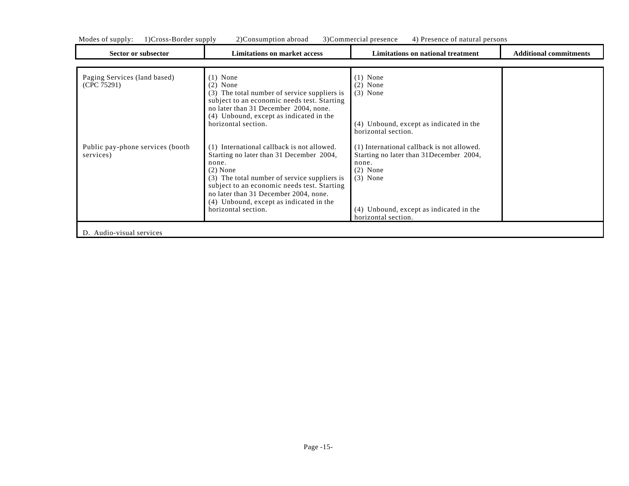| Modes of supply: | l)Cross-Border supply | 2) Consumption abroad | 3)Commercial presence | 4) Presence of natural persons |  |
|------------------|-----------------------|-----------------------|-----------------------|--------------------------------|--|
|                  |                       |                       |                       |                                |  |

| Sector or subsector                           | <b>Limitations on market access</b>                                                                                                                                                                                                                                                                                     | Limitations on national treatment                                                                                                                                                             | <b>Additional commitments</b> |
|-----------------------------------------------|-------------------------------------------------------------------------------------------------------------------------------------------------------------------------------------------------------------------------------------------------------------------------------------------------------------------------|-----------------------------------------------------------------------------------------------------------------------------------------------------------------------------------------------|-------------------------------|
|                                               |                                                                                                                                                                                                                                                                                                                         |                                                                                                                                                                                               |                               |
| Paging Services (land based)<br>(CPC 75291)   | $(1)$ None<br>$(2)$ None<br>The total number of service suppliers is<br>(3)<br>subject to an economic needs test. Starting<br>no later than 31 December 2004, none.<br>(4) Unbound, except as indicated in the<br>horizontal section.                                                                                   | None<br>$(2)$ None<br>$(3)$ None<br>(4) Unbound, except as indicated in the<br>horizontal section.                                                                                            |                               |
| Public pay-phone services (booth<br>services) | (1) International callback is not allowed.<br>Starting no later than 31 December 2004,<br>none.<br>$(2)$ None<br>(3) The total number of service suppliers is<br>subject to an economic needs test. Starting<br>no later than 31 December 2004, none.<br>(4) Unbound, except as indicated in the<br>horizontal section. | (1) International callback is not allowed.<br>Starting no later than 31 December 2004,<br>none.<br>$(2)$ None<br>$(3)$ None<br>(4) Unbound, except as indicated in the<br>horizontal section. |                               |
| D. Audio-visual services                      |                                                                                                                                                                                                                                                                                                                         |                                                                                                                                                                                               |                               |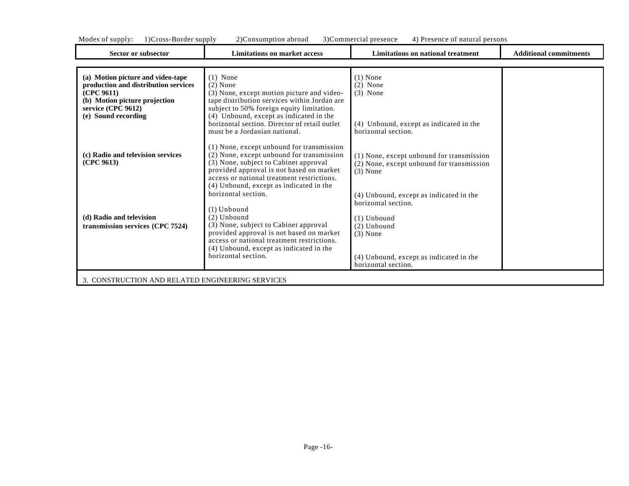| Mode <sup>2</sup><br>supply<br>. | $ -$<br>supply<br>$\sim$ 0.0 $\sim$<br>BORGE<br>. | abroad<br>sumpt<br>ons<br>"<br>$\cdots$ | 70<br>presence<br>:ommercia | persons<br>Presence<br>nat:<br>'a |
|----------------------------------|---------------------------------------------------|-----------------------------------------|-----------------------------|-----------------------------------|
|                                  |                                                   |                                         |                             |                                   |

٦

| Sector or subsector                                                                                                                                                   | <b>Limitations on market access</b>                                                                                                                                                                                                                                                              | <b>Limitations on national treatment</b>                                                                                                                                       | <b>Additional commitments</b> |
|-----------------------------------------------------------------------------------------------------------------------------------------------------------------------|--------------------------------------------------------------------------------------------------------------------------------------------------------------------------------------------------------------------------------------------------------------------------------------------------|--------------------------------------------------------------------------------------------------------------------------------------------------------------------------------|-------------------------------|
|                                                                                                                                                                       |                                                                                                                                                                                                                                                                                                  |                                                                                                                                                                                |                               |
| (a) Motion picture and video-tape<br>production and distribution services<br>(CPC 9611)<br>(b) Motion picture projection<br>service (CPC 9612)<br>(e) Sound recording | $(1)$ None<br>$(2)$ None<br>(3) None, except motion picture and video-<br>tape distribution services within Jordan are<br>subject to 50% foreign equity limitation.<br>(4) Unbound, except as indicated in the<br>horizontal section. Director of retail outlet<br>must be a Jordanian national. | $(1)$ None<br>$(2)$ None<br>$(3)$ None<br>(4) Unbound, except as indicated in the<br>horizontal section.                                                                       |                               |
| (c) Radio and television services<br>(CPC 9613)                                                                                                                       | (1) None, except unbound for transmission<br>(2) None, except unbound for transmission<br>(3) None, subject to Cabinet approval<br>provided approval is not based on market<br>access or national treatment restrictions.<br>(4) Unbound, except as indicated in the                             | (1) None, except unbound for transmission<br>(2) None, except unbound for transmission<br>$(3)$ None                                                                           |                               |
| (d) Radio and television<br>transmission services (CPC 7524)                                                                                                          | horizontal section.<br>$(1)$ Unbound<br>$(2)$ Unbound<br>(3) None, subject to Cabinet approval<br>provided approval is not based on market<br>access or national treatment restrictions.<br>(4) Unbound, except as indicated in the<br>horizontal section.                                       | (4) Unbound, except as indicated in the<br>horizontal section.<br>$(1)$ Unbound<br>(2) Unbound<br>$(3)$ None<br>(4) Unbound, except as indicated in the<br>horizontal section. |                               |
| 3. CONSTRUCTION AND RELATED ENGINEERING SERVICES                                                                                                                      |                                                                                                                                                                                                                                                                                                  |                                                                                                                                                                                |                               |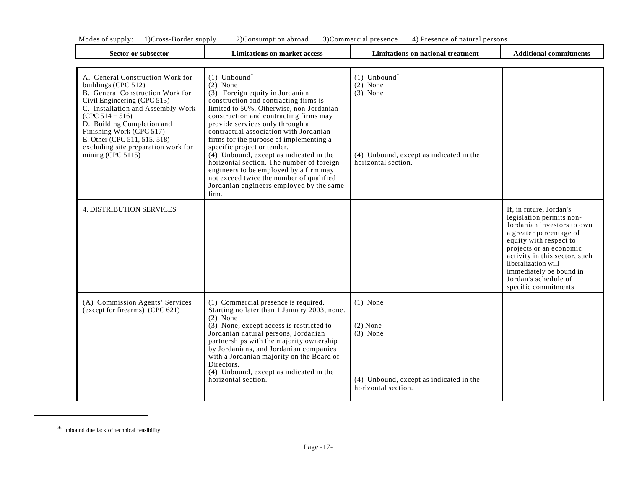| Modes<br>supply: | D. L. Cross-Border<br>supply | sumption<br>abroac<br>്റnsu. | 3)( | Commercial presence | persons<br><b>Presence</b><br>natur |                        |
|------------------|------------------------------|------------------------------|-----|---------------------|-------------------------------------|------------------------|
|                  | Nector or subsector          | -imitations on market access |     |                     | Limitations on national treatment.  | Additional commitments |

| Sector or subsector                                                                                                                                                                                                                                                                                                                          | <b>Limitations on market access</b>                                                                                                                                                                                                                                                                                                                                                                                                                                                                                                                                                                    | Limitations on national treatment                                                                                        | <b>Additional commitments</b>                                                                                                                                                                                                                                                                        |
|----------------------------------------------------------------------------------------------------------------------------------------------------------------------------------------------------------------------------------------------------------------------------------------------------------------------------------------------|--------------------------------------------------------------------------------------------------------------------------------------------------------------------------------------------------------------------------------------------------------------------------------------------------------------------------------------------------------------------------------------------------------------------------------------------------------------------------------------------------------------------------------------------------------------------------------------------------------|--------------------------------------------------------------------------------------------------------------------------|------------------------------------------------------------------------------------------------------------------------------------------------------------------------------------------------------------------------------------------------------------------------------------------------------|
| A. General Construction Work for<br>buildings (CPC 512)<br>B. General Construction Work for<br>Civil Engineering (CPC 513)<br>C. Installation and Assembly Work<br>$(CPC 514 + 516)$<br>D. Building Completion and<br>Finishing Work (CPC 517)<br>E. Other (CPC 511, 515, 518)<br>excluding site preparation work for<br>mining $(CPC 5115)$ | $(1)$ Unbound <sup>*</sup><br>$(2)$ None<br>(3) Foreign equity in Jordanian<br>construction and contracting firms is<br>limited to 50%. Otherwise, non-Jordanian<br>construction and contracting firms may<br>provide services only through a<br>contractual association with Jordanian<br>firms for the purpose of implementing a<br>specific project or tender.<br>$(4)$ Unbound, except as indicated in the<br>horizontal section. The number of foreign<br>engineers to be employed by a firm may<br>not exceed twice the number of qualified<br>Jordanian engineers employed by the same<br>firm. | $(1)$ Unbound <sup>*</sup><br>$(2)$ None<br>$(3)$ None<br>(4) Unbound, except as indicated in the<br>horizontal section. |                                                                                                                                                                                                                                                                                                      |
| <b>4. DISTRIBUTION SERVICES</b>                                                                                                                                                                                                                                                                                                              |                                                                                                                                                                                                                                                                                                                                                                                                                                                                                                                                                                                                        |                                                                                                                          | If, in future, Jordan's<br>legislation permits non-<br>Jordanian investors to own<br>a greater percentage of<br>equity with respect to<br>projects or an economic<br>activity in this sector, such<br>liberalization will<br>immediately be bound in<br>Jordan's schedule of<br>specific commitments |
| (A) Commission Agents' Services<br>(except for firearms) (CPC 621)                                                                                                                                                                                                                                                                           | (1) Commercial presence is required.<br>Starting no later than 1 January 2003, none.<br>$(2)$ None<br>(3) None, except access is restricted to<br>Jordanian natural persons, Jordanian<br>partnerships with the majority ownership<br>by Jordanians, and Jordanian companies<br>with a Jordanian majority on the Board of<br>Directors.<br>(4) Unbound, except as indicated in the<br>horizontal section.                                                                                                                                                                                              | $(1)$ None<br>$(2)$ None<br>$(3)$ None<br>(4) Unbound, except as indicated in the<br>horizontal section.                 |                                                                                                                                                                                                                                                                                                      |

<sup>\*</sup> unbound due lack of technical feasibility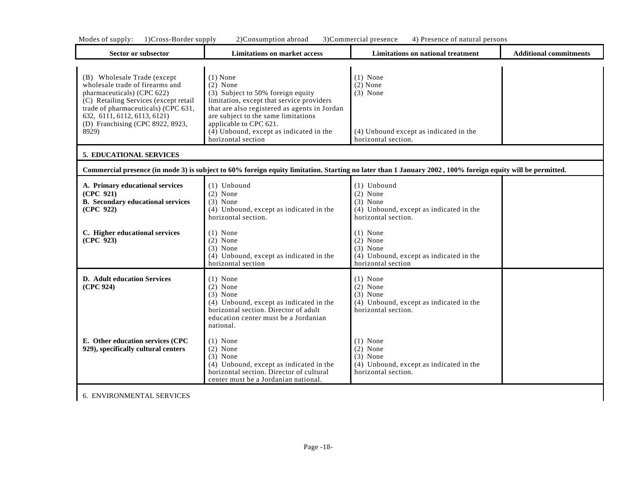|  | Modes of supply: 1)Cross-Border supply |  |  | 2)Consumption abroad 3)Commercial presence 4) Presence of natural persons |  |
|--|----------------------------------------|--|--|---------------------------------------------------------------------------|--|
|--|----------------------------------------|--|--|---------------------------------------------------------------------------|--|

| Sector or subsector                                                                                                                                                                                                                                       | <b>Limitations on market access</b>                                                                                                                                                                                                                                                                       | Limitations on national treatment                                                                                                                          | <b>Additional commitments</b> |
|-----------------------------------------------------------------------------------------------------------------------------------------------------------------------------------------------------------------------------------------------------------|-----------------------------------------------------------------------------------------------------------------------------------------------------------------------------------------------------------------------------------------------------------------------------------------------------------|------------------------------------------------------------------------------------------------------------------------------------------------------------|-------------------------------|
| (B) Wholesale Trade (except<br>wholesale trade of firearms and<br>pharmaceuticals) (CPC 622)<br>(C) Retailing Services (except retail<br>trade of pharmaceuticals) (CPC 631,<br>632, 6111, 6112, 6113, 6121)<br>(D) Franchising (CPC 8922, 8923,<br>8929) | $(1)$ None<br>$(2)$ None<br>(3) Subject to 50% foreign equity<br>limitation, except that service providers<br>that are also registered as agents in Jordan<br>are subject to the same limitations<br>applicable to CPC 621.<br>$\overline{(4)}$ Unbound, except as indicated in the<br>horizontal section | $(1)$ None<br>$(2)$ None<br>$(3)$ None<br>(4) Unbound except as indicated in the<br>horizontal section.                                                    |                               |
| 5. EDUCATIONAL SERVICES                                                                                                                                                                                                                                   |                                                                                                                                                                                                                                                                                                           |                                                                                                                                                            |                               |
|                                                                                                                                                                                                                                                           |                                                                                                                                                                                                                                                                                                           | Commercial presence (in mode 3) is subject to 60% foreign equity limitation. Starting no later than 1 January 2002, 100% foreign equity will be permitted. |                               |
| A. Primary educational services<br>(CPC 921)<br><b>B.</b> Secondary educational services<br>(CPC 922)                                                                                                                                                     | $(1)$ Unbound<br>$(2)$ None<br>$(3)$ None<br>(4) Unbound, except as indicated in the<br>horizontal section.                                                                                                                                                                                               | $(1)$ Unbound<br>$(2)$ None<br>$(3)$ None<br>(4) Unbound, except as indicated in the<br>horizontal section.                                                |                               |
| C. Higher educational services<br>(CPC 923)                                                                                                                                                                                                               | $(1)$ None<br>$(2)$ None<br>$(3)$ None<br>(4) Unbound, except as indicated in the<br>horizontal section                                                                                                                                                                                                   | $(1)$ None<br>$(2)$ None<br>$(3)$ None<br>(4) Unbound, except as indicated in the<br>horizontal section                                                    |                               |
| <b>D.</b> Adult education Services<br>(CPC 924)                                                                                                                                                                                                           | $(1)$ None<br>$(2)$ None<br>$(3)$ None<br>(4) Unbound, except as indicated in the<br>horizontal section. Director of adult<br>education center must be a Jordanian<br>national.                                                                                                                           | $(1)$ None<br>$(2)$ None<br>$(3)$ None<br>(4) Unbound, except as indicated in the<br>horizontal section.                                                   |                               |
| E. Other education services (CPC<br>929), specifically cultural centers                                                                                                                                                                                   | $(1)$ None<br>$(2)$ None<br>$(3)$ None<br>(4) Unbound, except as indicated in the<br>horizontal section. Director of cultural<br>center must be a Jordanian national.                                                                                                                                     | $(1)$ None<br>$(2)$ None<br>$(3)$ None<br>(4) Unbound, except as indicated in the<br>horizontal section.                                                   |                               |

6. ENVIRONMENTAL SERVICES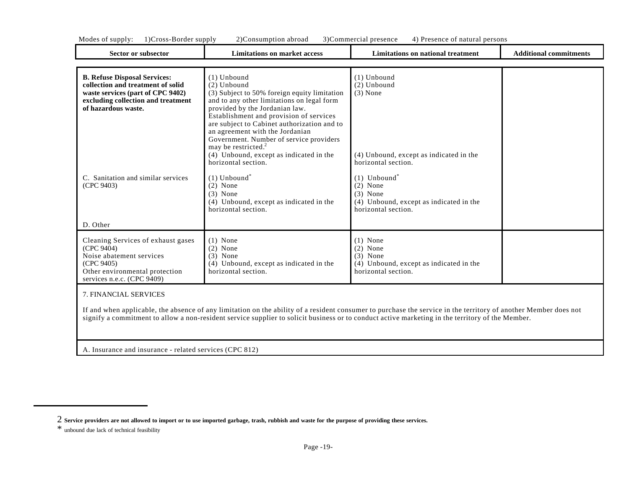| Modes<br>$\lrcorner$ supply:<br>$\Omega$ | supply<br>ross-<br>.-Border | ') (<br>abroad<br>`onsumption | presence<br>. :ommercial<br>м | persons<br><b>Dro</b><br>$\alpha$ nco<br>natural<br>$\Omega$<br>. JILE |  |
|------------------------------------------|-----------------------------|-------------------------------|-------------------------------|------------------------------------------------------------------------|--|
|                                          |                             |                               |                               |                                                                        |  |

| Sector or subsector                                                                                                                                                        | <b>Limitations on market access</b>                                                                                                                                                                                                                                                                                                                                                                                  | Limitations on national treatment                                                                                                               | <b>Additional commitments</b> |
|----------------------------------------------------------------------------------------------------------------------------------------------------------------------------|----------------------------------------------------------------------------------------------------------------------------------------------------------------------------------------------------------------------------------------------------------------------------------------------------------------------------------------------------------------------------------------------------------------------|-------------------------------------------------------------------------------------------------------------------------------------------------|-------------------------------|
|                                                                                                                                                                            |                                                                                                                                                                                                                                                                                                                                                                                                                      |                                                                                                                                                 |                               |
| <b>B. Refuse Disposal Services:</b><br>collection and treatment of solid<br>waste services (part of CPC 9402)<br>excluding collection and treatment<br>of hazardous waste. | $(1)$ Unbound<br>$(2)$ Unbound<br>(3) Subject to 50% foreign equity limitation<br>and to any other limitations on legal form<br>provided by the Jordanian law.<br>Establishment and provision of services<br>are subject to Cabinet authorization and to<br>an agreement with the Jordanian<br>Government. Number of service providers<br>may be restricted. <sup>2</sup><br>(4) Unbound, except as indicated in the | $(1)$ Unbound<br>$(2)$ Unbound<br>$(3)$ None<br>(4) Unbound, except as indicated in the                                                         |                               |
| C. Sanitation and similar services<br>(CPC 9403)<br>D. Other                                                                                                               | horizontal section.<br>$(1)$ Unbound <sup>*</sup><br>$(2)$ None<br>$(3)$ None<br>(4) Unbound, except as indicated in the<br>horizontal section.                                                                                                                                                                                                                                                                      | horizontal section.<br>$(1)$ Unbound <sup>*</sup><br>$(2)$ None<br>$(3)$ None<br>(4) Unbound, except as indicated in the<br>horizontal section. |                               |
| Cleaning Services of exhaust gases<br>(CPC 9404)<br>Noise abatement services<br>(CPC 9405)<br>Other environmental protection<br>services n.e.c. (CPC 9409)                 | $(1)$ None<br>$(2)$ None<br>$(3)$ None<br>(4) Unbound, except as indicated in the<br>horizontal section.                                                                                                                                                                                                                                                                                                             | $(1)$ None<br>$(2)$ None<br>$(3)$ None<br>(4) Unbound, except as indicated in the<br>horizontal section.                                        |                               |

7. FINANCIAL SERVICES

If and when applicable, the absence of any limitation on the ability of a resident consumer to purchase the service in the territory of another Member does not signify a commitment to allow a non-resident service supplier to solicit business or to conduct active marketing in the territory of the Member.

A. Insurance and insurance - related services (CPC 812)

<sup>2</sup> **Service providers are not allowed to import or to use imported garbage, trash, rubbish and waste for the purpose of providing these services.**

<sup>\*</sup> unbound due lack of technical feasibility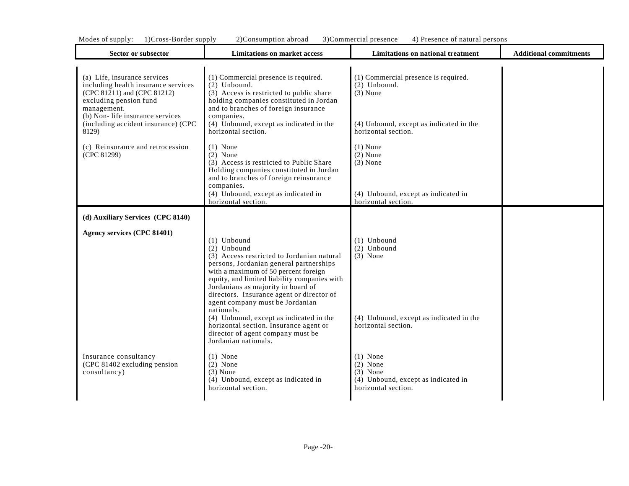|  |  |  |  | Modes of supply: 1)Cross-Border supply 2)Consumption abroad 3)Commercial presence 4) Presence of natural persons |  |
|--|--|--|--|------------------------------------------------------------------------------------------------------------------|--|
|--|--|--|--|------------------------------------------------------------------------------------------------------------------|--|

| Sector or subsector                                                                                                                                                                                                            | <b>Limitations on market access</b>                                                                                                                                                                                                                                                                                                 | Limitations on national treatment                                                                                                      | <b>Additional commitments</b> |
|--------------------------------------------------------------------------------------------------------------------------------------------------------------------------------------------------------------------------------|-------------------------------------------------------------------------------------------------------------------------------------------------------------------------------------------------------------------------------------------------------------------------------------------------------------------------------------|----------------------------------------------------------------------------------------------------------------------------------------|-------------------------------|
| (a) Life, insurance services<br>including health insurance services<br>(CPC 81211) and (CPC 81212)<br>excluding pension fund<br>management.<br>(b) Non-life insurance services<br>(including accident insurance) (CPC<br>8129) | (1) Commercial presence is required.<br>(2) Unbound.<br>(3) Access is restricted to public share<br>holding companies constituted in Jordan<br>and to branches of foreign insurance<br>companies.<br>$(4)$ Unbound, except as indicated in the<br>horizontal section.                                                               | (1) Commercial presence is required.<br>$(2)$ Unbound.<br>$(3)$ None<br>(4) Unbound, except as indicated in the<br>horizontal section. |                               |
| (c) Reinsurance and retrocession<br>(CPC 81299)                                                                                                                                                                                | $(1)$ None<br>$(2)$ None<br>(3) Access is restricted to Public Share<br>Holding companies constituted in Jordan<br>and to branches of foreign reinsurance<br>companies.<br>(4) Unbound, except as indicated in<br>horizontal section.                                                                                               | $(1)$ None<br>$(2)$ None<br>$(3)$ None<br>(4) Unbound, except as indicated in<br>horizontal section.                                   |                               |
| (d) Auxiliary Services (CPC 8140)                                                                                                                                                                                              |                                                                                                                                                                                                                                                                                                                                     |                                                                                                                                        |                               |
| Agency services (CPC 81401)                                                                                                                                                                                                    | $(1)$ Unbound<br>(2) Unbound<br>(3) Access restricted to Jordanian natural<br>persons, Jordanian general partnerships<br>with a maximum of 50 percent foreign<br>equity, and limited liability companies with<br>Jordanians as majority in board of<br>directors. Insurance agent or director of<br>agent company must be Jordanian | $(1)$ Unbound<br>(2) Unbound<br>$(3)$ None                                                                                             |                               |
|                                                                                                                                                                                                                                | nationals.<br>(4) Unbound, except as indicated in the<br>horizontal section. Insurance agent or<br>director of agent company must be<br>Jordanian nationals.                                                                                                                                                                        | (4) Unbound, except as indicated in the<br>horizontal section.                                                                         |                               |
| Insurance consultancy<br>(CPC 81402 excluding pension<br>consultancy)                                                                                                                                                          | $(1)$ None<br>$(2)$ None<br>$(3)$ None<br>(4) Unbound, except as indicated in<br>horizontal section.                                                                                                                                                                                                                                | $(1)$ None<br>$(2)$ None<br>$(3)$ None<br>(4) Unbound, except as indicated in<br>horizontal section.                                   |                               |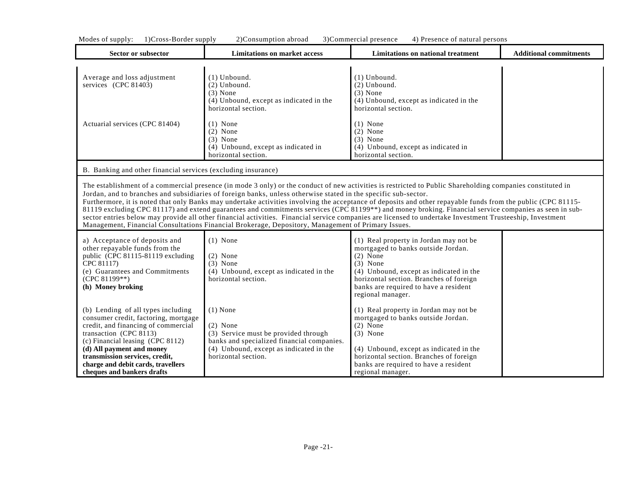| Sector or subsector                                                                                                                                                                                                                                                                                                | <b>Limitations on market access</b>                                                                                                                                                                                  | <b>Limitations on national treatment</b>                                                                                                                                                                                                                                                                                                                                                                                                                                                                                                                                                                                                          | <b>Additional commitments</b> |
|--------------------------------------------------------------------------------------------------------------------------------------------------------------------------------------------------------------------------------------------------------------------------------------------------------------------|----------------------------------------------------------------------------------------------------------------------------------------------------------------------------------------------------------------------|---------------------------------------------------------------------------------------------------------------------------------------------------------------------------------------------------------------------------------------------------------------------------------------------------------------------------------------------------------------------------------------------------------------------------------------------------------------------------------------------------------------------------------------------------------------------------------------------------------------------------------------------------|-------------------------------|
| Average and loss adjustment<br>services (CPC 81403)                                                                                                                                                                                                                                                                | $(1)$ Unbound.<br>(2) Unbound.<br>$(3)$ None<br>(4) Unbound, except as indicated in the<br>horizontal section.                                                                                                       | $(1)$ Unbound.<br>$(2)$ Unbound.<br>$(3)$ None<br>(4) Unbound, except as indicated in the<br>horizontal section.                                                                                                                                                                                                                                                                                                                                                                                                                                                                                                                                  |                               |
| Actuarial services (CPC 81404)                                                                                                                                                                                                                                                                                     | $(1)$ None<br>$(2)$ None<br>$(3)$ None<br>(4) Unbound, except as indicated in<br>horizontal section.                                                                                                                 | $(1)$ None<br>$(2)$ None<br>$(3)$ None<br>(4) Unbound, except as indicated in<br>horizontal section.                                                                                                                                                                                                                                                                                                                                                                                                                                                                                                                                              |                               |
| B. Banking and other financial services (excluding insurance)                                                                                                                                                                                                                                                      |                                                                                                                                                                                                                      |                                                                                                                                                                                                                                                                                                                                                                                                                                                                                                                                                                                                                                                   |                               |
|                                                                                                                                                                                                                                                                                                                    | Jordan, and to branches and subsidiaries of foreign banks, unless otherwise stated in the specific sub-sector.<br>Management, Financial Consultations Financial Brokerage, Depository, Management of Primary Issues. | The establishment of a commercial presence (in mode 3 only) or the conduct of new activities is restricted to Public Shareholding companies constituted in<br>Furthermore, it is noted that only Banks may undertake activities involving the acceptance of deposits and other repayable funds from the public (CPC 81115-<br>81119 excluding CPC 81117) and extend guarantees and commitments services (CPC 81199**) and money broking. Financial service companies as seen in sub-<br>sector entries below may provide all other financial activities. Financial service companies are licensed to undertake Investment Trusteeship, Investment |                               |
| a) Acceptance of deposits and<br>other repayable funds from the<br>public (CPC 81115-81119 excluding<br>CPC 81117)<br>(e) Guarantees and Commitments<br>(CPC 81199**)<br>(h) Money broking                                                                                                                         | $(1)$ None<br>$(2)$ None<br>$(3)$ None<br>(4) Unbound, except as indicated in the<br>horizontal section.                                                                                                             | (1) Real property in Jordan may not be<br>mortgaged to banks outside Jordan.<br>$(2)$ None<br>$(3)$ None<br>(4) Unbound, except as indicated in the<br>horizontal section. Branches of foreign<br>banks are required to have a resident<br>regional manager.                                                                                                                                                                                                                                                                                                                                                                                      |                               |
| (b) Lending of all types including<br>consumer credit, factoring, mortgage<br>credit, and financing of commercial<br>transaction (CPC 8113)<br>(c) Financial leasing (CPC 8112)<br>(d) All payment and money<br>transmission services, credit,<br>charge and debit cards, travellers<br>cheques and bankers drafts | $(1)$ None<br>$(2)$ None<br>(3) Service must be provided through<br>banks and specialized financial companies.<br>(4) Unbound, except as indicated in the<br>horizontal section.                                     | (1) Real property in Jordan may not be<br>mortgaged to banks outside Jordan.<br>$(2)$ None<br>$(3)$ None<br>(4) Unbound, except as indicated in the<br>horizontal section. Branches of foreign<br>banks are required to have a resident<br>regional manager.                                                                                                                                                                                                                                                                                                                                                                                      |                               |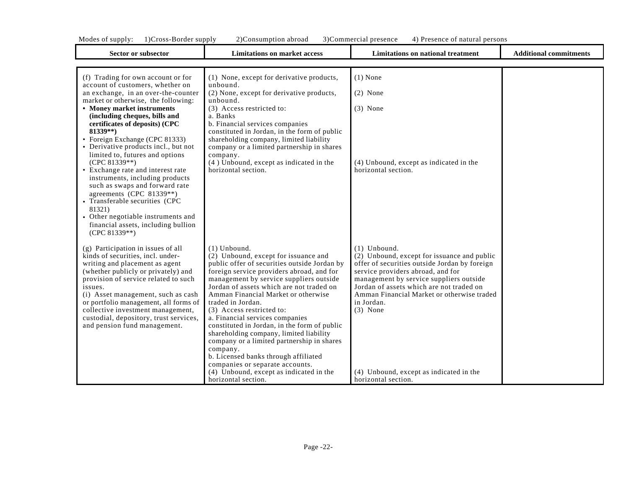Т

т

| Sector or subsector                                                                                                                                                                                                                                                                                                                                                                               | <b>Limitations on market access</b>                                                                                                                                                                                                                                                                                                                                                                                                                                                                                                                                                                    | <b>Limitations on national treatment</b>                                                                                                                                                                                                                                                                             | <b>Additional commitments</b> |
|---------------------------------------------------------------------------------------------------------------------------------------------------------------------------------------------------------------------------------------------------------------------------------------------------------------------------------------------------------------------------------------------------|--------------------------------------------------------------------------------------------------------------------------------------------------------------------------------------------------------------------------------------------------------------------------------------------------------------------------------------------------------------------------------------------------------------------------------------------------------------------------------------------------------------------------------------------------------------------------------------------------------|----------------------------------------------------------------------------------------------------------------------------------------------------------------------------------------------------------------------------------------------------------------------------------------------------------------------|-------------------------------|
|                                                                                                                                                                                                                                                                                                                                                                                                   |                                                                                                                                                                                                                                                                                                                                                                                                                                                                                                                                                                                                        |                                                                                                                                                                                                                                                                                                                      |                               |
| (f) Trading for own account or for<br>account of customers, whether on                                                                                                                                                                                                                                                                                                                            | (1) None, except for derivative products,<br>unbound.                                                                                                                                                                                                                                                                                                                                                                                                                                                                                                                                                  | $(1)$ None                                                                                                                                                                                                                                                                                                           |                               |
| an exchange, in an over-the-counter<br>market or otherwise, the following:                                                                                                                                                                                                                                                                                                                        | (2) None, except for derivative products,<br>unbound.                                                                                                                                                                                                                                                                                                                                                                                                                                                                                                                                                  | $(2)$ None                                                                                                                                                                                                                                                                                                           |                               |
| • Money market instruments<br>(including cheques, bills and<br>certificates of deposits) (CPC<br>$81339**$<br>• Foreign Exchange (CPC 81333)<br>• Derivative products incl., but not                                                                                                                                                                                                              | (3) Access restricted to:<br>a. Banks<br>b. Financial services companies<br>constituted in Jordan, in the form of public<br>shareholding company, limited liability<br>company or a limited partnership in shares                                                                                                                                                                                                                                                                                                                                                                                      | $(3)$ None                                                                                                                                                                                                                                                                                                           |                               |
| limited to, futures and options<br>(CPC 81339**)<br>• Exchange rate and interest rate<br>instruments, including products<br>such as swaps and forward rate<br>agreements (CPC 81339**)<br>• Transferable securities (CPC<br>81321)<br>• Other negotiable instruments and<br>financial assets, including bullion<br>(CPC 81339**)                                                                  | company.<br>(4) Unbound, except as indicated in the<br>horizontal section.                                                                                                                                                                                                                                                                                                                                                                                                                                                                                                                             | (4) Unbound, except as indicated in the<br>horizontal section.                                                                                                                                                                                                                                                       |                               |
| (g) Participation in issues of all<br>kinds of securities, incl. under-<br>writing and placement as agent<br>(whether publicly or privately) and<br>provision of service related to such<br>issues.<br>(i) Asset management, such as cash<br>or portfolio management, all forms of<br>collective investment management,<br>custodial, depository, trust services,<br>and pension fund management. | $(1)$ Unbound.<br>(2) Unbound, except for issuance and<br>public offer of securities outside Jordan by<br>foreign service providers abroad, and for<br>management by service suppliers outside<br>Jordan of assets which are not traded on<br>Amman Financial Market or otherwise<br>traded in Jordan.<br>(3) Access restricted to:<br>a. Financial services companies<br>constituted in Jordan, in the form of public<br>shareholding company, limited liability<br>company or a limited partnership in shares<br>company.<br>b. Licensed banks through affiliated<br>companies or separate accounts. | $(1)$ Unbound.<br>(2) Unbound, except for issuance and public<br>offer of securities outside Jordan by foreign<br>service providers abroad, and for<br>management by service suppliers outside<br>Jordan of assets which are not traded on<br>Amman Financial Market or otherwise traded<br>in Jordan.<br>$(3)$ None |                               |
|                                                                                                                                                                                                                                                                                                                                                                                                   | (4) Unbound, except as indicated in the<br>horizontal section.                                                                                                                                                                                                                                                                                                                                                                                                                                                                                                                                         | (4) Unbound, except as indicated in the<br>horizontal section.                                                                                                                                                                                                                                                       |                               |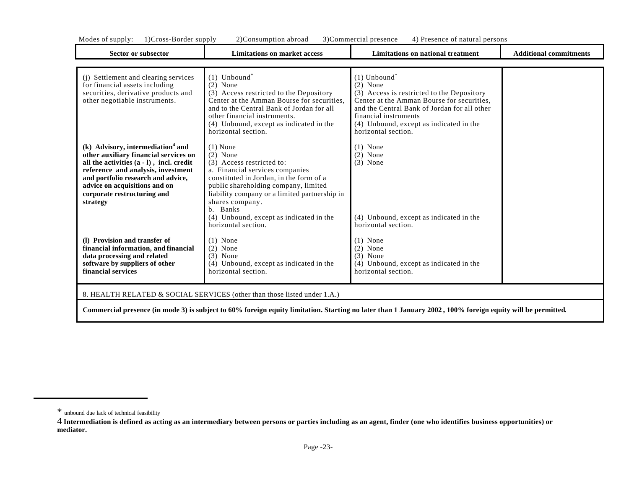| Sector or subsector                                                                                                                                                                                                                                                                           | <b>Limitations on market access</b>                                                                                                                                                                                                                                                                                           | Limitations on national treatment                                                                                                                                                                                                                                               | <b>Additional commitments</b> |
|-----------------------------------------------------------------------------------------------------------------------------------------------------------------------------------------------------------------------------------------------------------------------------------------------|-------------------------------------------------------------------------------------------------------------------------------------------------------------------------------------------------------------------------------------------------------------------------------------------------------------------------------|---------------------------------------------------------------------------------------------------------------------------------------------------------------------------------------------------------------------------------------------------------------------------------|-------------------------------|
| (j) Settlement and clearing services<br>for financial assets including<br>securities, derivative products and<br>other negotiable instruments.                                                                                                                                                | $(1)$ Unbound <sup>*</sup><br>$(2)$ None<br>(3) Access restricted to the Depository<br>Center at the Amman Bourse for securities.<br>and to the Central Bank of Jordan for all<br>other financial instruments.<br>(4) Unbound, except as indicated in the<br>horizontal section.                                              | $(1)$ Unbound <sup>*</sup><br>$(2)$ None<br>(3) Access is restricted to the Depository<br>Center at the Amman Bourse for securities.<br>and the Central Bank of Jordan for all other<br>financial instruments<br>(4) Unbound, except as indicated in the<br>horizontal section. |                               |
| (k) Advisory, intermediation <sup>4</sup> and<br>other auxiliary financial services on<br>all the activities $(a - l)$ , incl. credit<br>reference and analysis, investment<br>and portfolio research and advice,<br>advice on acquisitions and on<br>corporate restructuring and<br>strategy | $(1)$ None<br>$(2)$ None<br>(3) Access restricted to:<br>a. Financial services companies<br>constituted in Jordan, in the form of a<br>public shareholding company, limited<br>liability company or a limited partnership in<br>shares company.<br>b. Banks<br>(4) Unbound, except as indicated in the<br>horizontal section. | $(1)$ None<br>$(2)$ None<br>$(3)$ None<br>(4) Unbound, except as indicated in the<br>horizontal section.                                                                                                                                                                        |                               |
| (1) Provision and transfer of<br>financial information, and financial<br>data processing and related<br>software by suppliers of other<br>financial services                                                                                                                                  | $(1)$ None<br>$(2)$ None<br>$(3)$ None<br>(4) Unbound, except as indicated in the<br>horizontal section.                                                                                                                                                                                                                      | $(1)$ None<br>$(2)$ None<br>$(3)$ None<br>(4) Unbound, except as indicated in the<br>horizontal section.                                                                                                                                                                        |                               |
|                                                                                                                                                                                                                                                                                               | 8. HEALTH RELATED & SOCIAL SERVICES (other than those listed under 1.A.)                                                                                                                                                                                                                                                      |                                                                                                                                                                                                                                                                                 |                               |

**Commercial presence (in mode 3) is subject to 60% foreign equity limitation. Starting no later than 1 January 2002 , 100% foreign equity will be permitted***.*

<sup>\*</sup> unbound due lack of technical feasibility

<sup>4</sup> **Intermediation is defined as acting as an intermediary between persons or parties including as an agent, finder (one who identifies business opportunities) or mediator.**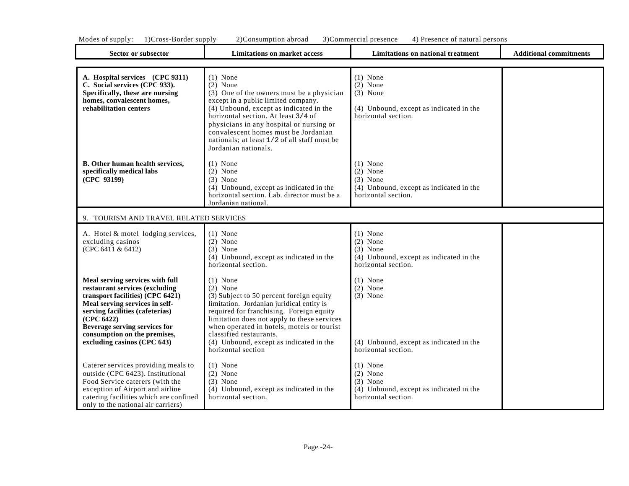| Sector or subsector                                                                                                                                                                                                                                                                      | <b>Limitations on market access</b>                                                                                                                                                                                                                                                                                                                        | Limitations on national treatment                                                                        | <b>Additional commitments</b> |
|------------------------------------------------------------------------------------------------------------------------------------------------------------------------------------------------------------------------------------------------------------------------------------------|------------------------------------------------------------------------------------------------------------------------------------------------------------------------------------------------------------------------------------------------------------------------------------------------------------------------------------------------------------|----------------------------------------------------------------------------------------------------------|-------------------------------|
| A. Hospital services (CPC 9311)<br>C. Social services (CPC 933).<br>Specifically, these are nursing<br>homes, convalescent homes,<br>rehabilitation centers                                                                                                                              | $(1)$ None<br>$(2)$ None<br>(3) One of the owners must be a physician<br>except in a public limited company.<br>(4) Unbound, except as indicated in the<br>horizontal section. At least 3/4 of<br>physicians in any hospital or nursing or<br>convalescent homes must be Jordanian<br>nationals: at least 1/2 of all staff must be<br>Jordanian nationals. | $(1)$ None<br>$(2)$ None<br>$(3)$ None<br>(4) Unbound, except as indicated in the<br>horizontal section. |                               |
| <b>B.</b> Other human health services,<br>specifically medical labs<br>(CPC 93199)                                                                                                                                                                                                       | $(1)$ None<br>$(2)$ None<br>$(3)$ None<br>(4) Unbound, except as indicated in the<br>horizontal section. Lab. director must be a<br>Jordanian national.                                                                                                                                                                                                    | $(1)$ None<br>$(2)$ None<br>$(3)$ None<br>(4) Unbound, except as indicated in the<br>horizontal section. |                               |
| 9. TOURISM AND TRAVEL RELATED SERVICES                                                                                                                                                                                                                                                   |                                                                                                                                                                                                                                                                                                                                                            |                                                                                                          |                               |
| A. Hotel & motel lodging services,<br>excluding casinos<br>(CPC 6411 & 6412)                                                                                                                                                                                                             | $(1)$ None<br>$(2)$ None<br>$(3)$ None<br>(4) Unbound, except as indicated in the<br>horizontal section.                                                                                                                                                                                                                                                   | $(1)$ None<br>$(2)$ None<br>$(3)$ None<br>(4) Unbound, except as indicated in the<br>horizontal section. |                               |
| Meal serving services with full<br>restaurant services (excluding<br>transport facilities) (CPC 6421)<br>Meal serving services in self-<br>serving facilities (cafeterias)<br>(CPC 6422)<br>Beverage serving services for<br>consumption on the premises,<br>excluding casinos (CPC 643) | $(1)$ None<br>$(2)$ None<br>(3) Subject to 50 percent foreign equity<br>limitation. Jordanian juridical entity is<br>required for franchising. Foreign equity<br>limitation does not apply to these services<br>when operated in hotels, motels or tourist<br>classified restaurants.<br>(4) Unbound, except as indicated in the<br>horizontal section     | $(1)$ None<br>$(2)$ None<br>$(3)$ None<br>(4) Unbound, except as indicated in the<br>horizontal section. |                               |
| Caterer services providing meals to<br>outside (CPC 6423). Institutional<br>Food Service caterers (with the<br>exception of Airport and airline<br>catering facilities which are confined<br>only to the national air carriers)                                                          | $(1)$ None<br>$(2)$ None<br>$(3)$ None<br>(4) Unbound, except as indicated in the<br>horizontal section.                                                                                                                                                                                                                                                   | $(1)$ None<br>$(2)$ None<br>$(3)$ None<br>(4) Unbound, except as indicated in the<br>horizontal section. |                               |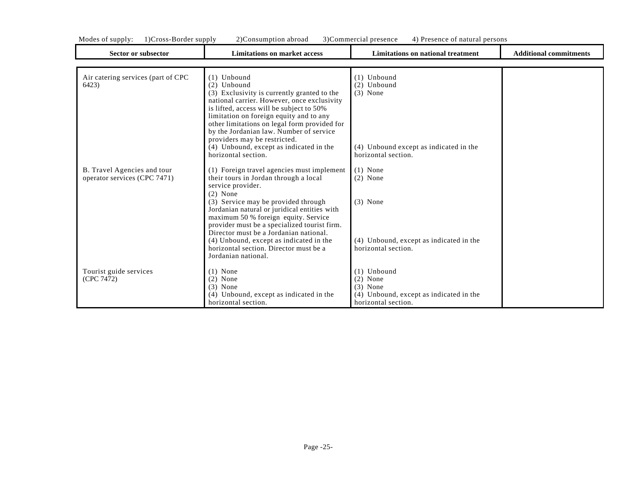| Mode<br>supply:<br>. . | supply<br>30rder<br>$ross-$ | ') (<br>abroad<br>:onsumption | :ommercial<br>nre.<br>sence<br>$\mathbf{u}$ | persons<br>1240<br>sence<br>natural |  |
|------------------------|-----------------------------|-------------------------------|---------------------------------------------|-------------------------------------|--|
|------------------------|-----------------------------|-------------------------------|---------------------------------------------|-------------------------------------|--|

| <b>Sector or subsector</b>                                  | <b>Limitations on market access</b>                                                                                                                                                                                                                                                                                                                                                                                                  | <b>Limitations on national treatment</b>                                                                      | <b>Additional commitments</b> |
|-------------------------------------------------------------|--------------------------------------------------------------------------------------------------------------------------------------------------------------------------------------------------------------------------------------------------------------------------------------------------------------------------------------------------------------------------------------------------------------------------------------|---------------------------------------------------------------------------------------------------------------|-------------------------------|
|                                                             |                                                                                                                                                                                                                                                                                                                                                                                                                                      |                                                                                                               |                               |
| Air catering services (part of CPC<br>6423)                 | $(1)$ Unbound<br>(2) Unbound<br>(3) Exclusivity is currently granted to the<br>national carrier. However, once exclusivity<br>is lifted, access will be subject to 50%<br>limitation on foreign equity and to any<br>other limitations on legal form provided for<br>by the Jordanian law. Number of service<br>providers may be restricted.<br>(4) Unbound, except as indicated in the<br>horizontal section.                       | $(1)$ Unbound<br>$(2)$ Unbound<br>$(3)$ None<br>(4) Unbound except as indicated in the<br>horizontal section. |                               |
| B. Travel Agencies and tour<br>operator services (CPC 7471) | (1) Foreign travel agencies must implement<br>their tours in Jordan through a local<br>service provider.<br>$(2)$ None<br>(3) Service may be provided through<br>Jordanian natural or juridical entities with<br>maximum 50 % foreign equity. Service<br>provider must be a specialized tourist firm.<br>Director must be a Jordanian national.<br>(4) Unbound, except as indicated in the<br>horizontal section. Director must be a | $(1)$ None<br>$(2)$ None<br>$(3)$ None<br>(4) Unbound, except as indicated in the<br>horizontal section.      |                               |
| Tourist guide services<br>(CPC 7472)                        | Jordanian national.<br>$(1)$ None<br>$(2)$ None<br>$(3)$ None<br>(4) Unbound, except as indicated in the<br>horizontal section.                                                                                                                                                                                                                                                                                                      | $(1)$ Unbound<br>$(2)$ None<br>$(3)$ None<br>(4) Unbound, except as indicated in the<br>horizontal section.   |                               |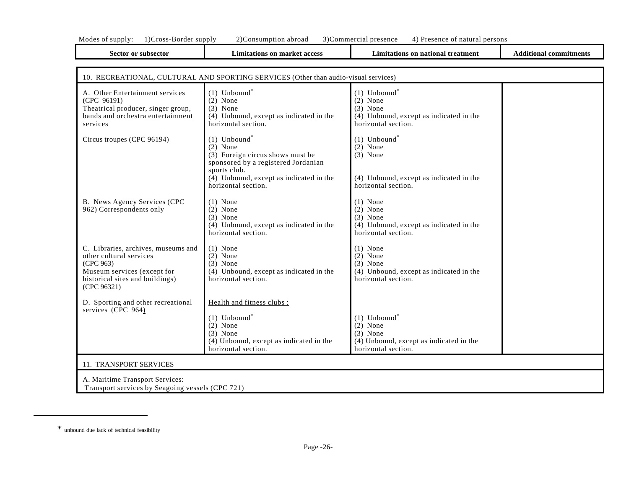| <b>Sector or subsector</b>                                                                                                                                   | <b>Limitations on market access</b>                                                                                                                                                                                | <b>Limitations on national treatment</b>                                                                                 | <b>Additional commitments</b> |  |
|--------------------------------------------------------------------------------------------------------------------------------------------------------------|--------------------------------------------------------------------------------------------------------------------------------------------------------------------------------------------------------------------|--------------------------------------------------------------------------------------------------------------------------|-------------------------------|--|
|                                                                                                                                                              |                                                                                                                                                                                                                    |                                                                                                                          |                               |  |
|                                                                                                                                                              | 10. RECREATIONAL, CULTURAL AND SPORTING SERVICES (Other than audio-visual services)                                                                                                                                |                                                                                                                          |                               |  |
| A. Other Entertainment services<br>(CPC 96191)<br>Theatrical producer, singer group,<br>bands and orchestra entertainment<br>services                        | $(1)$ Unbound <sup>*</sup><br>$(2)$ None<br>$(3)$ None<br>(4) Unbound, except as indicated in the<br>horizontal section.                                                                                           | $(1)$ Unbound <sup>*</sup><br>$(2)$ None<br>$(3)$ None<br>(4) Unbound, except as indicated in the<br>horizontal section. |                               |  |
| Circus troupes (CPC 96194)                                                                                                                                   | $(1)$ Unbound <sup>*</sup><br>$(2)$ None<br>(3) Foreign circus shows must be<br>sponsored by a registered Jordanian<br>sports club.<br>$(\overline{4})$ Unbound, except as indicated in the<br>horizontal section. | $(1)$ Unbound <sup>*</sup><br>$(2)$ None<br>$(3)$ None<br>(4) Unbound, except as indicated in the<br>horizontal section. |                               |  |
| B. News Agency Services (CPC<br>962) Correspondents only                                                                                                     | $(1)$ None<br>$(2)$ None<br>$(3)$ None<br>(4) Unbound, except as indicated in the<br>horizontal section.                                                                                                           | $(1)$ None<br>$(2)$ None<br>$(3)$ None<br>(4) Unbound, except as indicated in the<br>horizontal section.                 |                               |  |
| C. Libraries, archives, museums and<br>other cultural services<br>(CPC 963)<br>Museum services (except for<br>historical sites and buildings)<br>(CPC 96321) | $(1)$ None<br>$(2)$ None<br>$(3)$ None<br>(4) Unbound, except as indicated in the<br>horizontal section.                                                                                                           | $(1)$ None<br>$(2)$ None<br>$(3)$ None<br>(4) Unbound, except as indicated in the<br>horizontal section.                 |                               |  |
| D. Sporting and other recreational<br>services (CPC 964)                                                                                                     | Health and fitness clubs :<br>$(1)$ Unbound <sup>*</sup><br>$(2)$ None<br>$(3)$ None<br>(4) Unbound, except as indicated in the<br>horizontal section.                                                             | $(1)$ Unbound <sup>*</sup><br>$(2)$ None<br>$(3)$ None<br>(4) Unbound, except as indicated in the<br>horizontal section. |                               |  |
| 11. TRANSPORT SERVICES                                                                                                                                       |                                                                                                                                                                                                                    |                                                                                                                          |                               |  |
| A. Maritime Transport Services:<br>Transport services by Seagoing vessels (CPC 721)                                                                          |                                                                                                                                                                                                                    |                                                                                                                          |                               |  |

<sup>\*</sup> unbound due lack of technical feasibility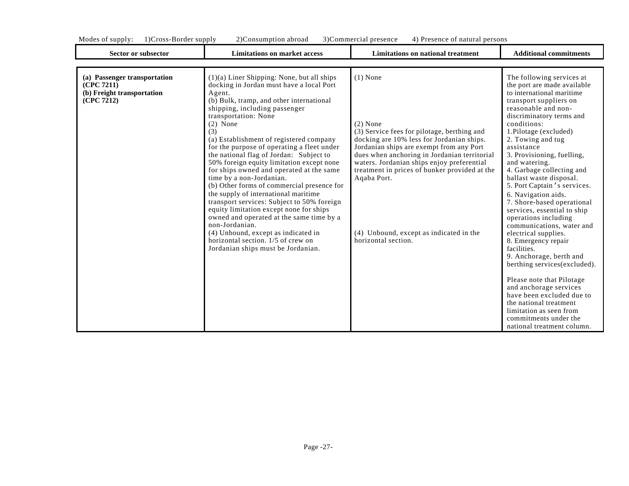Sector or subsector **Limitations on market access Limitations on national treatment Additional commitments** 

| (a) Passenger transportation<br>(CPC 7211)<br>(b) Freight transportation<br>(CPC 7212) | $(1)(a)$ Liner Shipping: None, but all ships<br>docking in Jordan must have a local Port<br>Agent.<br>(b) Bulk, tramp, and other international<br>shipping, including passenger<br>transportation: None<br>$(2)$ None<br>(3)<br>(a) Establishment of registered company<br>for the purpose of operating a fleet under<br>the national flag of Jordan: Subject to<br>50% foreign equity limitation except none<br>for ships owned and operated at the same<br>time by a non-Jordanian.<br>(b) Other forms of commercial presence for<br>the supply of international maritime<br>transport services: Subject to 50% foreign<br>equity limitation except none for ships<br>owned and operated at the same time by a<br>non-Jordanian.<br>(4) Unbound, except as indicated in<br>horizontal section. 1/5 of crew on<br>Jordanian ships must be Jordanian. | $(1)$ None<br>$(2)$ None<br>(3) Service fees for pilotage, berthing and<br>docking are 10% less for Jordanian ships.<br>Jordanian ships are exempt from any Port<br>dues when anchoring in Jordanian territorial<br>waters. Jordanian ships enjoy preferential<br>treatment in prices of bunker provided at the<br>Aqaba Port.<br>(4) Unbound, except as indicated in the<br>horizontal section. | The following services at<br>the port are made available<br>to international maritime<br>transport suppliers on<br>reasonable and non-<br>discriminatory terms and<br>conditions:<br>1.Pilotage (excluded)<br>2. Towing and tug<br>assistance<br>3. Provisioning, fuelling,<br>and watering.<br>4. Garbage collecting and<br>ballast waste disposal.<br>5. Port Captain 's services.<br>6. Navigation aids.<br>7. Shore-based operational<br>services, essential to ship<br>operations including<br>communications, water and<br>electrical supplies.<br>8. Emergency repair<br>facilities.<br>9. Anchorage, berth and<br>berthing services (excluded).<br>Please note that Pilotage<br>and anchorage services<br>have been excluded due to<br>the national treatment<br>limitation as seen from<br>commitments under the<br>national treatment column. |
|----------------------------------------------------------------------------------------|-------------------------------------------------------------------------------------------------------------------------------------------------------------------------------------------------------------------------------------------------------------------------------------------------------------------------------------------------------------------------------------------------------------------------------------------------------------------------------------------------------------------------------------------------------------------------------------------------------------------------------------------------------------------------------------------------------------------------------------------------------------------------------------------------------------------------------------------------------|--------------------------------------------------------------------------------------------------------------------------------------------------------------------------------------------------------------------------------------------------------------------------------------------------------------------------------------------------------------------------------------------------|---------------------------------------------------------------------------------------------------------------------------------------------------------------------------------------------------------------------------------------------------------------------------------------------------------------------------------------------------------------------------------------------------------------------------------------------------------------------------------------------------------------------------------------------------------------------------------------------------------------------------------------------------------------------------------------------------------------------------------------------------------------------------------------------------------------------------------------------------------|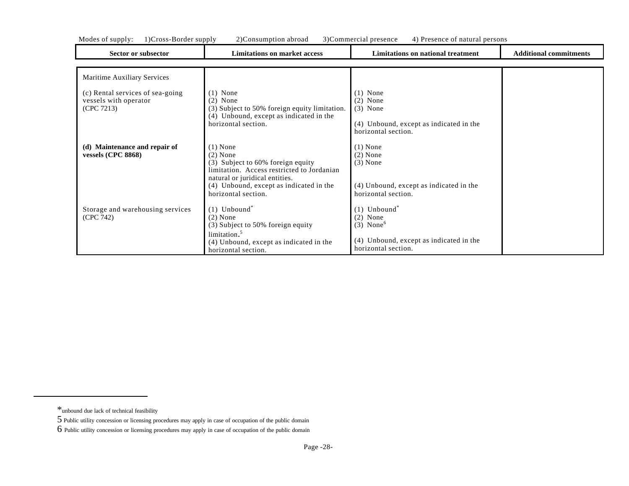| Sector or subsector                                                     | <b>Limitations on market access</b>                                                                                                                                                                             | Limitations on national treatment                                                                                                     | <b>Additional commitments</b> |
|-------------------------------------------------------------------------|-----------------------------------------------------------------------------------------------------------------------------------------------------------------------------------------------------------------|---------------------------------------------------------------------------------------------------------------------------------------|-------------------------------|
|                                                                         |                                                                                                                                                                                                                 |                                                                                                                                       |                               |
| Maritime Auxiliary Services                                             |                                                                                                                                                                                                                 |                                                                                                                                       |                               |
| (c) Rental services of sea-going<br>vessels with operator<br>(CPC 7213) | $(1)$ None<br>$(2)$ None<br>(3) Subject to 50% foreign equity limitation.<br>(4) Unbound, except as indicated in the<br>horizontal section.                                                                     | $(1)$ None<br>$(2)$ None<br>$(3)$ None<br>(4) Unbound, except as indicated in the<br>horizontal section.                              |                               |
| (d) Maintenance and repair of<br>vessels (CPC 8868)                     | $(1)$ None<br>$(2)$ None<br>(3) Subject to 60% foreign equity<br>limitation. Access restricted to Jordanian<br>natural or juridical entities.<br>(4) Unbound, except as indicated in the<br>horizontal section. | $(1)$ None<br>$(2)$ None<br>$(3)$ None<br>(4) Unbound, except as indicated in the<br>horizontal section.                              |                               |
| Storage and warehousing services<br>(CPC 742)                           | $(1)$ Unbound <sup>*</sup><br>$(2)$ None<br>(3) Subject to 50% foreign equity<br>limitation. <sup>5</sup><br>(4) Unbound, except as indicated in the<br>horizontal section.                                     | $(1)$ Unbound <sup>*</sup><br>$(2)$ None<br>$(3)$ None <sup>6</sup><br>(4) Unbound, except as indicated in the<br>horizontal section. |                               |

<sup>\*</sup>unbound due lack of technical feasibility

<sup>5</sup> Public utility concession or licensing procedures may apply in case of occupation of the public domain

<sup>6</sup> Public utility concession or licensing procedures may apply in case of occupation of the public domain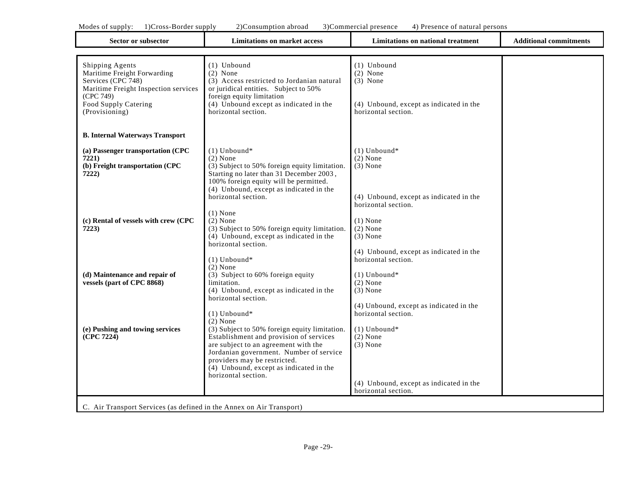| Sector or subsector                                                                                                                                                 | <b>Limitations on market access</b>                                                                                                                                                                                            | <b>Limitations on national treatment</b>                                                                  | <b>Additional commitments</b> |
|---------------------------------------------------------------------------------------------------------------------------------------------------------------------|--------------------------------------------------------------------------------------------------------------------------------------------------------------------------------------------------------------------------------|-----------------------------------------------------------------------------------------------------------|-------------------------------|
|                                                                                                                                                                     |                                                                                                                                                                                                                                |                                                                                                           |                               |
| Shipping Agents<br>Maritime Freight Forwarding<br>Services (CPC 748)<br>Maritime Freight Inspection services<br>(CPC 749)<br>Food Supply Catering<br>(Provisioning) | (1) Unbound<br>$(2)$ None<br>(3) Access restricted to Jordanian natural<br>or juridical entities. Subject to 50%<br>foreign equity limitation<br>(4) Unbound except as indicated in the<br>horizontal section.                 | (1) Unbound<br>$(2)$ None<br>$(3)$ None<br>(4) Unbound, except as indicated in the<br>horizontal section. |                               |
| <b>B. Internal Waterways Transport</b>                                                                                                                              |                                                                                                                                                                                                                                |                                                                                                           |                               |
| (a) Passenger transportation (CPC<br>7221)<br>(b) Freight transportation (CPC<br>7222)                                                                              | $(1)$ Unbound*<br>$(2)$ None<br>(3) Subject to 50% foreign equity limitation.<br>Starting no later than 31 December 2003,<br>100% foreign equity will be permitted.<br>(4) Unbound, except as indicated in the                 | $(1)$ Unbound*<br>$(2)$ None<br>$(3)$ None                                                                |                               |
|                                                                                                                                                                     | horizontal section.<br>$(1)$ None                                                                                                                                                                                              | (4) Unbound, except as indicated in the<br>horizontal section.                                            |                               |
| (c) Rental of vessels with crew (CPC<br>7223)                                                                                                                       | $(2)$ None<br>(3) Subject to 50% foreign equity limitation.<br>(4) Unbound, except as indicated in the<br>horizontal section.                                                                                                  | $(1)$ None<br>$(2)$ None<br>$(3)$ None<br>(4) Unbound, except as indicated in the                         |                               |
| (d) Maintenance and repair of<br>vessels (part of CPC 8868)                                                                                                         | $(1)$ Unbound*<br>$(2)$ None<br>(3) Subject to 60% foreign equity<br>limitation.<br>(4) Unbound, except as indicated in the<br>horizontal section.                                                                             | horizontal section.<br>$(1)$ Unbound*<br>$(2)$ None<br>$(3)$ None                                         |                               |
| (e) Pushing and towing services                                                                                                                                     | $(1)$ Unbound*<br>$(2)$ None<br>(3) Subject to 50% foreign equity limitation.                                                                                                                                                  | (4) Unbound, except as indicated in the<br>horizontal section.<br>$(1)$ Unbound*                          |                               |
| (CPC 7224)                                                                                                                                                          | Establishment and provision of services<br>are subject to an agreement with the<br>Jordanian government. Number of service<br>providers may be restricted.<br>$(4)$ Unbound, except as indicated in the<br>horizontal section. | $(2)$ None<br>$(3)$ None                                                                                  |                               |
|                                                                                                                                                                     |                                                                                                                                                                                                                                | (4) Unbound, except as indicated in the<br>horizontal section.                                            |                               |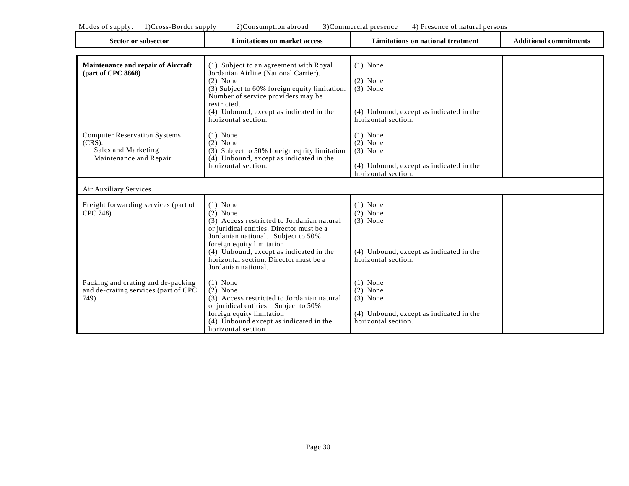| Sector or subsector                                                                | <b>Limitations on market access</b>                                                                                                                                                    | Limitations on national treatment                                                                        | <b>Additional commitments</b> |
|------------------------------------------------------------------------------------|----------------------------------------------------------------------------------------------------------------------------------------------------------------------------------------|----------------------------------------------------------------------------------------------------------|-------------------------------|
| Maintenance and repair of Aircraft<br>(part of CPC 8868)                           | (1) Subject to an agreement with Royal<br>Jordanian Airline (National Carrier).<br>$(2)$ None<br>(3) Subject to 60% foreign equity limitation.                                         | $(1)$ None<br>$(2)$ None<br>$(3)$ None                                                                   |                               |
|                                                                                    | Number of service providers may be<br>restricted.<br>(4) Unbound, except as indicated in the<br>horizontal section.                                                                    | (4) Unbound, except as indicated in the<br>horizontal section.                                           |                               |
| <b>Computer Reservation Systems</b><br>$(CRS)$ :<br>Sales and Marketing            | $(1)$ None<br>$(2)$ None<br>(3) Subject to 50% foreign equity limitation                                                                                                               | $(1)$ None<br>$(2)$ None<br>$(3)$ None                                                                   |                               |
| Maintenance and Repair                                                             | (4) Unbound, except as indicated in the<br>horizontal section.                                                                                                                         | (4) Unbound, except as indicated in the<br>horizontal section.                                           |                               |
| Air Auxiliary Services                                                             |                                                                                                                                                                                        |                                                                                                          |                               |
| Freight forwarding services (part of<br>CPC 748)                                   | $(1)$ None<br>$(2)$ None<br>(3) Access restricted to Jordanian natural<br>or juridical entities. Director must be a<br>Jordanian national. Subject to 50%                              | $(1)$ None<br>$(2)$ None<br>$(3)$ None                                                                   |                               |
|                                                                                    | foreign equity limitation<br>(4) Unbound, except as indicated in the<br>horizontal section. Director must be a<br>Jordanian national.                                                  | (4) Unbound, except as indicated in the<br>horizontal section.                                           |                               |
| Packing and crating and de-packing<br>and de-crating services (part of CPC<br>749) | $(1)$ None<br>$(2)$ None<br>(3) Access restricted to Jordanian natural<br>or juridical entities. Subject to 50%<br>foreign equity limitation<br>(4) Unbound except as indicated in the | $(1)$ None<br>$(2)$ None<br>$(3)$ None<br>(4) Unbound, except as indicated in the<br>horizontal section. |                               |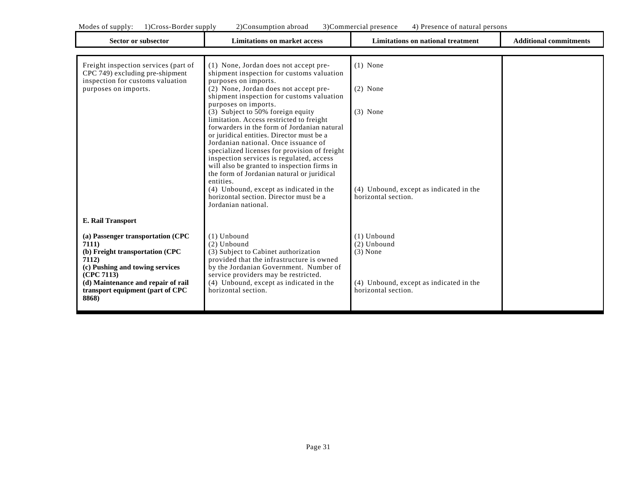| 1) Cross-Border supply<br>3)Commercial presence<br>Modes of supply:<br>2) Consumption abroad<br>4) Presence of natural persons                                                                                                                                  |                                                                                                                                                                                                                                                                                                                                                                                                                                                                                                                                                                                                                                                                                                                                                                  |                                                                                                                |                               |
|-----------------------------------------------------------------------------------------------------------------------------------------------------------------------------------------------------------------------------------------------------------------|------------------------------------------------------------------------------------------------------------------------------------------------------------------------------------------------------------------------------------------------------------------------------------------------------------------------------------------------------------------------------------------------------------------------------------------------------------------------------------------------------------------------------------------------------------------------------------------------------------------------------------------------------------------------------------------------------------------------------------------------------------------|----------------------------------------------------------------------------------------------------------------|-------------------------------|
| <b>Sector or subsector</b>                                                                                                                                                                                                                                      | <b>Limitations on market access</b>                                                                                                                                                                                                                                                                                                                                                                                                                                                                                                                                                                                                                                                                                                                              | <b>Limitations on national treatment</b>                                                                       | <b>Additional commitments</b> |
| Freight inspection services (part of<br>CPC 749) excluding pre-shipment<br>inspection for customs valuation<br>purposes on imports.                                                                                                                             | (1) None, Jordan does not accept pre-<br>shipment inspection for customs valuation<br>purposes on imports.<br>(2) None, Jordan does not accept pre-<br>shipment inspection for customs valuation<br>purposes on imports.<br>(3) Subject to 50% foreign equity<br>limitation. Access restricted to freight<br>forwarders in the form of Jordanian natural<br>or juridical entities. Director must be a<br>Jordanian national. Once issuance of<br>specialized licenses for provision of freight<br>inspection services is regulated, access<br>will also be granted to inspection firms in<br>the form of Jordanian natural or juridical<br>entities.<br>(4) Unbound, except as indicated in the<br>horizontal section. Director must be a<br>Jordanian national. | $(1)$ None<br>$(2)$ None<br>$(3)$ None<br>(4) Unbound, except as indicated in the<br>horizontal section.       |                               |
| <b>E. Rail Transport</b><br>(a) Passenger transportation (CPC<br><b>7111</b> )<br>(b) Freight transportation (CPC<br>7112)<br>(c) Pushing and towing services<br>(CPC 7113)<br>(d) Maintenance and repair of rail<br>transport equipment (part of CPC)<br>8868) | $(1)$ Unbound<br>$(2)$ Unbound<br>(3) Subject to Cabinet authorization<br>provided that the infrastructure is owned<br>by the Jordanian Government. Number of<br>service providers may be restricted.<br>(4) Unbound, except as indicated in the<br>horizontal section.                                                                                                                                                                                                                                                                                                                                                                                                                                                                                          | $(1)$ Unbound<br>$(2)$ Unbound<br>$(3)$ None<br>(4) Unbound, except as indicated in the<br>horizontal section. |                               |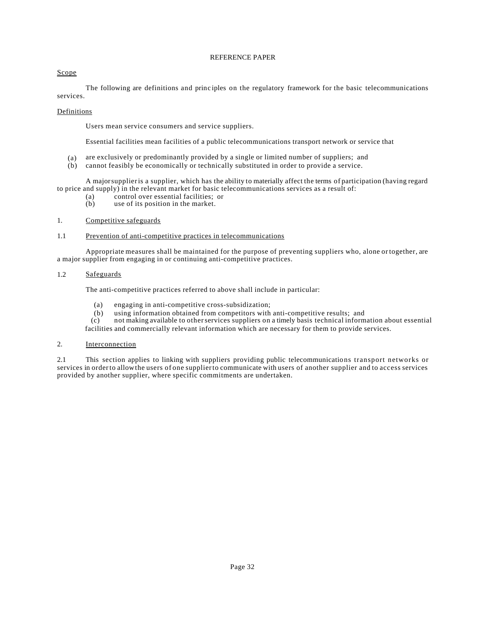#### REFERENCE PAPER

## Scope

The following are definitions and principles on the regulatory framework for the basic telecommunications services.

#### Definitions

Users mean service consumers and service suppliers.

Essential facilities mean facilities of a public telecommunications transport network or service that

- (a) are exclusively or predominantly provided by a single or limited number of suppliers; and
- (b) cannot feasibly be economically or technically substituted in order to provide a service.

A majorsupplieris a supplier, which has the ability to materially affect the terms of participation (having regard to price and supply) in the relevant market for basic telecommunications services as a result of:

- (a) control over essential facilities; or  $(b)$  use of its position in the market.
- use of its position in the market.

#### 1. Competitive safeguards

#### 1.1 Prevention of anti-competitive practices in telecommunications

Appropriate measures shall be maintained for the purpose of preventing suppliers who, alone or together, are a major supplier from engaging in or continuing anti-competitive practices.

## 1.2 Safeguards

The anti-competitive practices referred to above shall include in particular:

- (a) engaging in anti-competitive cross-subsidization;
- (b) using information obtained from competitors with anti-competitive results; and (c) not making available to other services suppliers on a timely basis technical inform

not making available to other services suppliers on a timely basis technical information about essential facilities and commercially relevant information which are necessary for them to provide services.

#### 2. Interconnection

2.1 This section applies to linking with suppliers providing public telecommunications transport networks or services in orderto allowthe users of one supplierto communicate with users of another supplier and to access services provided by another supplier, where specific commitments are undertaken.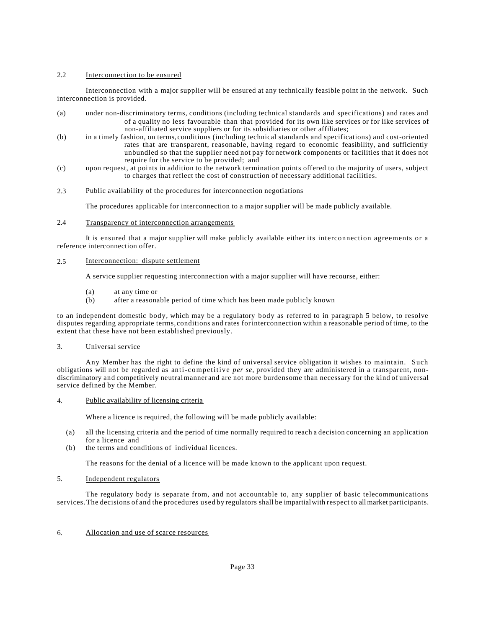## 2.2 Interconnection to be ensured

Interconnection with a major supplier will be ensured at any technically feasible point in the network. Such interconnection is provided.

- (a) under non-discriminatory terms, conditions (including technical standards and specifications) and rates and of a quality no less favourable than that provided for its own like services or for like services of non-affiliated service suppliers or for its subsidiaries or other affiliates;
- (b) in a timely fashion, on terms, conditions (including technical standards and specifications) and cost-oriented rates that are transparent, reasonable, having regard to economic feasibility, and sufficiently unbundled so that the supplier need not pay for network components or facilities that it does not require for the service to be provided; and
- (c) upon request, at points in addition to the network termination points offered to the majority of users, subject to charges that reflect the cost of construction of necessary additional facilities.

#### 2.3 Public availability of the procedures for interconnection negotiations

The procedures applicable for interconnection to a major supplier will be made publicly available.

## 2.4 Transparency of interconnection arrangements

It is ensured that a major supplier will make publicly available either its interconnection agreements or a reference interconnection offer.

## 2.5 Interconnection: dispute settlement

A service supplier requesting interconnection with a major supplier will have recourse, either:

- (a) at any time or
- (b) after a reasonable period of time which has been made publicly known

to an independent domestic body, which may be a regulatory body as referred to in paragraph 5 below, to resolve disputes regarding appropriate terms, conditions and rates forinterconnection within a reasonable period of time, to the extent that these have not been established previously.

#### 3. Universal service

Any Member has the right to define the kind of universal service obligation it wishes to maintain. Such obligations will not be regarded as anti-competitive *per se*, provided they are administered in a transparent, nondiscriminatory and competitively neutralmanner and are not more burdensome than necessary for the kind of universal service defined by the Member.

#### 4. Public availability of licensing criteria

Where a licence is required, the following will be made publicly available:

- (a) all the licensing criteria and the period of time normally required to reach a decision concerning an application for a licence and
- (b) the terms and conditions of individual licences.

The reasons for the denial of a licence will be made known to the applicant upon request.

## 5. Independent regulators

The regulatory body is separate from, and not accountable to, any supplier of basic telecommunications services.The decisions of and the procedures used by regulators shall be impartialwith respect to all market participants.

## 6. Allocation and use of scarce resources